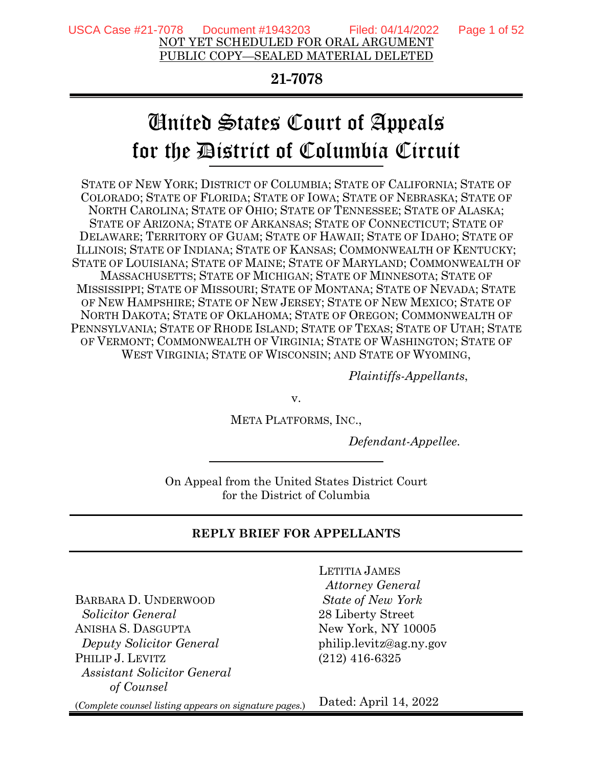#### **21-7078**

# United States Court of Appeals for the District of Columbia Circuit

STATE OF NEW YORK; DISTRICT OF COLUMBIA; STATE OF CALIFORNIA; STATE OF COLORADO; STATE OF FLORIDA; STATE OF IOWA; STATE OF NEBRASKA; STATE OF NORTH CAROLINA; STATE OF OHIO; STATE OF TENNESSEE; STATE OF ALASKA; STATE OF ARIZONA; STATE OF ARKANSAS; STATE OF CONNECTICUT; STATE OF DELAWARE; TERRITORY OF GUAM; STATE OF HAWAII; STATE OF IDAHO; STATE OF ILLINOIS; STATE OF INDIANA; STATE OF KANSAS; COMMONWEALTH OF KENTUCKY; STATE OF LOUISIANA; STATE OF MAINE; STATE OF MARYLAND; COMMONWEALTH OF MASSACHUSETTS; STATE OF MICHIGAN; STATE OF MINNESOTA; STATE OF MISSISSIPPI; STATE OF MISSOURI; STATE OF MONTANA; STATE OF NEVADA; STATE OF NEW HAMPSHIRE; STATE OF NEW JERSEY; STATE OF NEW MEXICO; STATE OF NORTH DAKOTA; STATE OF OKLAHOMA; STATE OF OREGON; COMMONWEALTH OF PENNSYLVANIA; STATE OF RHODE ISLAND; STATE OF TEXAS; STATE OF UTAH; STATE OF VERMONT; COMMONWEALTH OF VIRGINIA; STATE OF WASHINGTON; STATE OF WEST VIRGINIA; STATE OF WISCONSIN; AND STATE OF WYOMING,

*Plaintiffs-Appellants*,

v.

META PLATFORMS, INC.,

*Defendant-Appellee*.

On Appeal from the United States District Court for the District of Columbia

#### **REPLY BRIEF FOR APPELLANTS**

BARBARA D. UNDERWOOD  *Solicitor General*  ANISHA S. DASGUPTA  *Deputy Solicitor General* PHILIP J. LEVITZ *Assistant Solicitor General of Counsel*

LETITIA JAMES  *Attorney General State of New York*  28 Liberty Street New York, NY 10005 philip.levitz@ag.ny.gov (212) 416-6325

(*Complete counsel listing appears on signature pages.*) Dated: April 14, 2022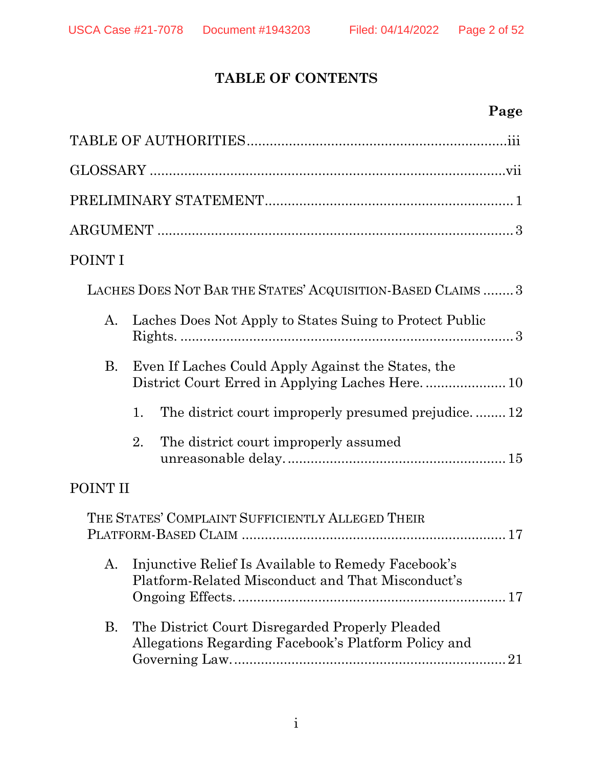# **TABLE OF CONTENTS**

# **Page**

| POINT I   |                                                                                                             |
|-----------|-------------------------------------------------------------------------------------------------------------|
|           | LACHES DOES NOT BAR THE STATES' ACQUISITION-BASED CLAIMS  3                                                 |
| A.        | Laches Does Not Apply to States Suing to Protect Public                                                     |
| <b>B.</b> | Even If Laches Could Apply Against the States, the                                                          |
|           | The district court improperly presumed prejudice12<br>1.                                                    |
|           | 2.<br>The district court improperly assumed                                                                 |
| POINT II  |                                                                                                             |
|           | THE STATES' COMPLAINT SUFFICIENTLY ALLEGED THEIR                                                            |
|           | A. Injunctive Relief Is Available to Remedy Facebook's<br>Platform-Related Misconduct and That Misconduct's |
| Β.        | The District Court Disregarded Properly Pleaded<br>Allegations Regarding Facebook's Platform Policy and     |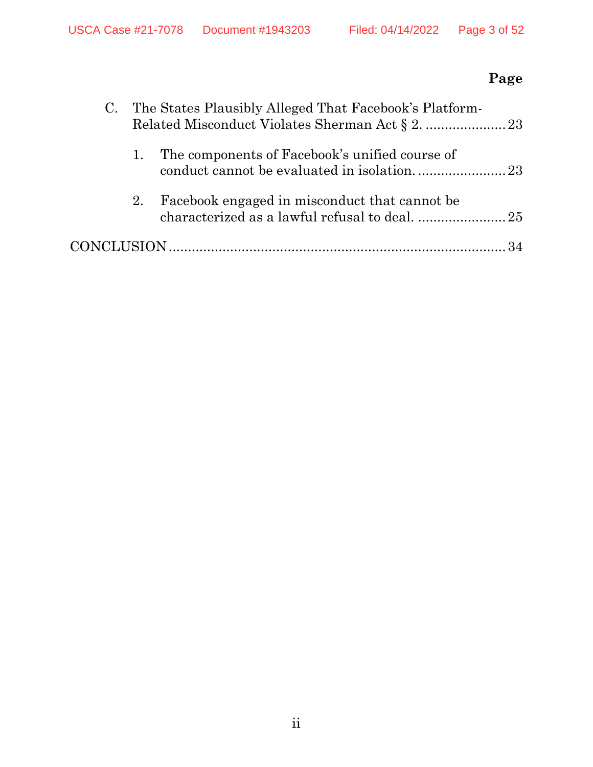# **Page**

|    | C. The States Plausibly Alleged That Facebook's Platform- |  |
|----|-----------------------------------------------------------|--|
| 1. | The components of Facebook's unified course of            |  |
| 2. | Facebook engaged in misconduct that cannot be             |  |
|    |                                                           |  |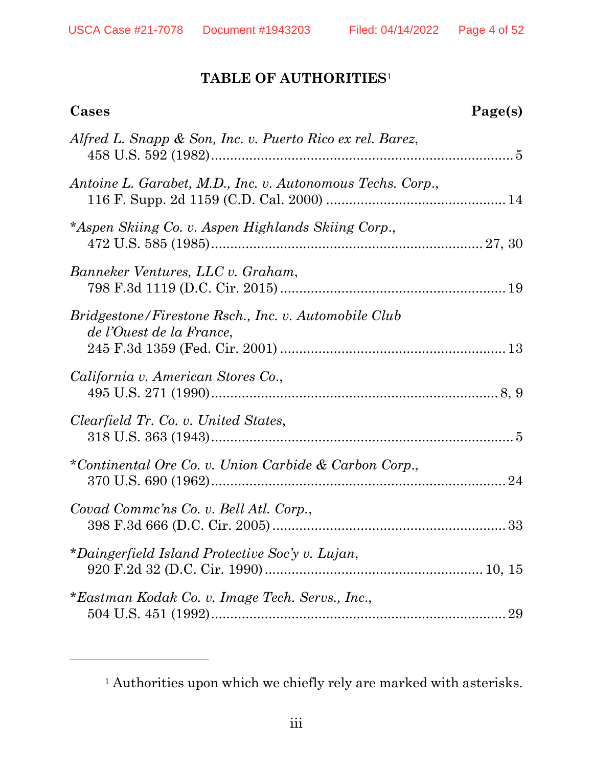## **TABLE OF AUTHORITIES**[1](#page-3-1)

<span id="page-3-0"></span>

| Cases                                                                            | Page(s) |
|----------------------------------------------------------------------------------|---------|
| Alfred L. Snapp & Son, Inc. v. Puerto Rico ex rel. Barez,                        |         |
| Antoine L. Garabet, M.D., Inc. v. Autonomous Techs. Corp.,                       |         |
| *Aspen Skiing Co. v. Aspen Highlands Skiing Corp.,                               |         |
| Banneker Ventures, LLC v. Graham,                                                |         |
| Bridgestone/Firestone Rsch., Inc. v. Automobile Club<br>de l'Ouest de la France. |         |
| California v. American Stores Co.,                                               |         |
| Clearfield Tr. Co. v. United States,                                             |         |
| *Continental Ore Co. v. Union Carbide & Carbon Corp.,                            |         |
| Covad Comme'ns Co. v. Bell Atl. Corp.,                                           |         |
| *Daingerfield Island Protective Soc'y v. Lujan,                                  |         |
| *Eastman Kodak Co. v. Image Tech. Servs., Inc.,                                  | 29      |

<span id="page-3-1"></span> $^{\rm 1}$  Authorities upon which we chiefly rely are marked with asterisks.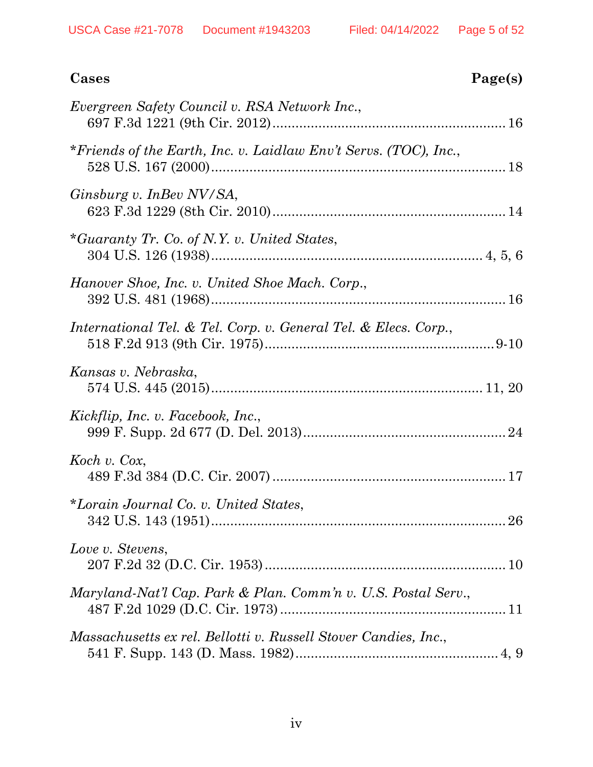| Cases                                                            | Page(s) |
|------------------------------------------------------------------|---------|
| Evergreen Safety Council v. RSA Network Inc.,                    |         |
| *Friends of the Earth, Inc. v. Laidlaw Env't Servs. (TOC), Inc., |         |
| Ginsburg v. InBev NV/SA,                                         |         |
| *Guaranty Tr. Co. of N.Y. v. United States,                      |         |
| Hanover Shoe, Inc. v. United Shoe Mach. Corp.,                   |         |
| International Tel. & Tel. Corp. v. General Tel. & Elecs. Corp.,  |         |
| Kansas v. Nebraska,                                              |         |
| Kickflip, Inc. v. Facebook, Inc.,                                |         |
| Koch v. Cox,                                                     |         |
| *Lorain Journal Co. v. United States,                            |         |
| Love v. Stevens,                                                 |         |
| Maryland-Nat'l Cap. Park & Plan. Comm'n v. U.S. Postal Serv.,    |         |
| Massachusetts ex rel. Bellotti v. Russell Stover Candies, Inc.,  |         |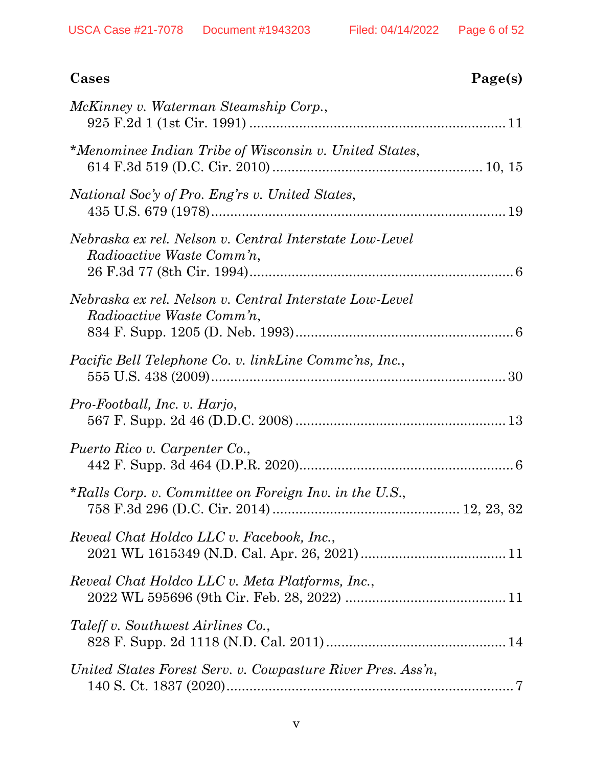| Cases                                                                                | Page(s) |
|--------------------------------------------------------------------------------------|---------|
| McKinney v. Waterman Steamship Corp.,                                                |         |
| *Menominee Indian Tribe of Wisconsin v. United States,                               |         |
| National Soc'y of Pro. Eng'rs v. United States,                                      |         |
| Nebraska ex rel. Nelson v. Central Interstate Low-Level<br>Radioactive Waste Comm'n, |         |
| Nebraska ex rel. Nelson v. Central Interstate Low-Level<br>Radioactive Waste Comm'n, |         |
| Pacific Bell Telephone Co. v. linkLine Commc'ns, Inc.,                               |         |
| Pro-Football, Inc. v. Harjo,                                                         |         |
| Puerto Rico v. Carpenter Co.,                                                        |         |
| *Ralls Corp. v. Committee on Foreign Inv. in the U.S.,                               |         |
| Reveal Chat Holdco LLC v. Facebook, Inc.,                                            |         |
| Reveal Chat Holdco LLC v. Meta Platforms, Inc.,                                      |         |
| Taleff v. Southwest Airlines Co.,                                                    |         |
| United States Forest Serv. v. Cowpasture River Pres. Ass'n,                          |         |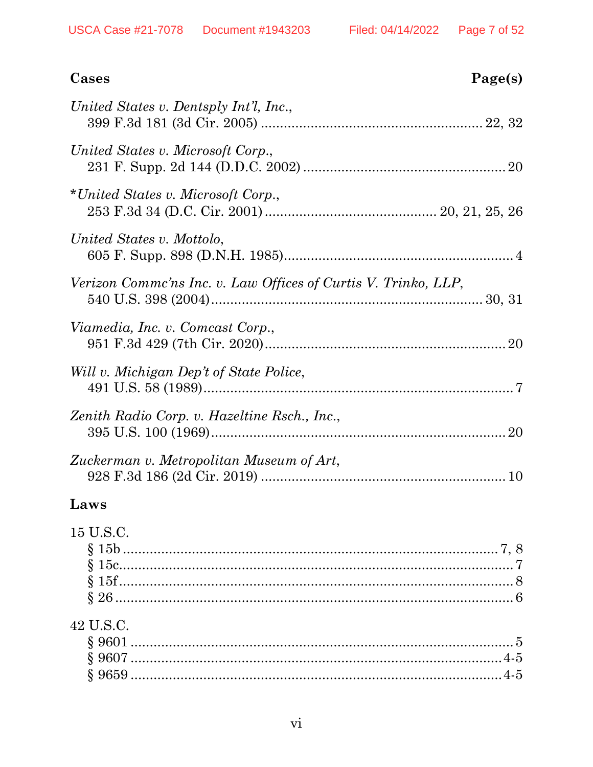| Cases<br>Page(s)                                               |
|----------------------------------------------------------------|
| United States v. Dentsply Int'l, Inc.,                         |
| United States v. Microsoft Corp.,                              |
| *United States v. Microsoft Corp.,                             |
| United States v. Mottolo,                                      |
| Verizon Comme'ns Inc. v. Law Offices of Curtis V. Trinko, LLP, |
| Viamedia, Inc. v. Comcast Corp.,                               |
| Will v. Michigan Dep't of State Police,                        |
| Zenith Radio Corp. v. Hazeltine Rsch., Inc.,                   |
| Zuckerman v. Metropolitan Museum of Art,                       |

### Laws

| 15 U.S.C. |  |
|-----------|--|
|           |  |
|           |  |
|           |  |
|           |  |
| 42 U.S.C. |  |
|           |  |
|           |  |
|           |  |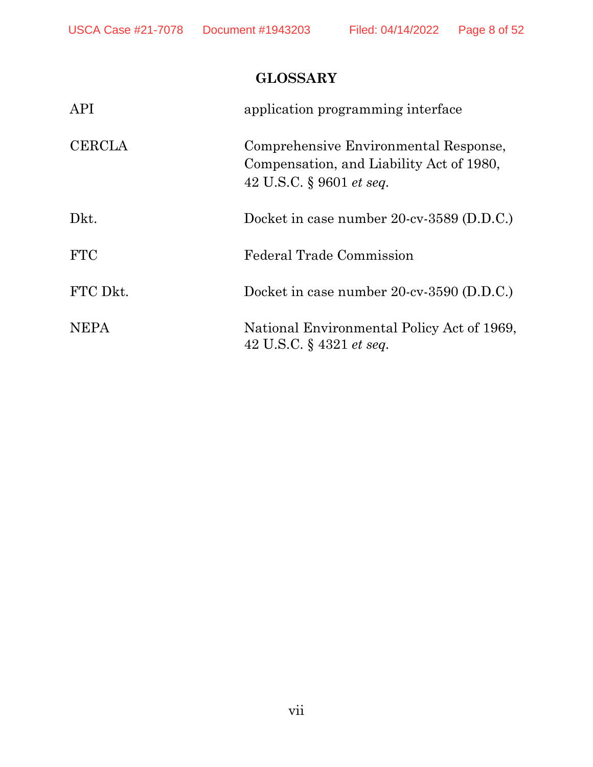# **GLOSSARY**

<span id="page-7-0"></span>

| <b>API</b>    | application programming interface                                                                                    |
|---------------|----------------------------------------------------------------------------------------------------------------------|
| <b>CERCLA</b> | Comprehensive Environmental Response,<br>Compensation, and Liability Act of 1980,<br>42 U.S.C. § 9601 <i>et seq.</i> |
| Dkt.          | Docket in case number 20-cv-3589 (D.D.C.)                                                                            |
| <b>FTC</b>    | <b>Federal Trade Commission</b>                                                                                      |
| FTC Dkt.      | Docket in case number 20-cv-3590 (D.D.C.)                                                                            |
| <b>NEPA</b>   | National Environmental Policy Act of 1969,<br>42 U.S.C. $\S$ 4321 <i>et seq.</i>                                     |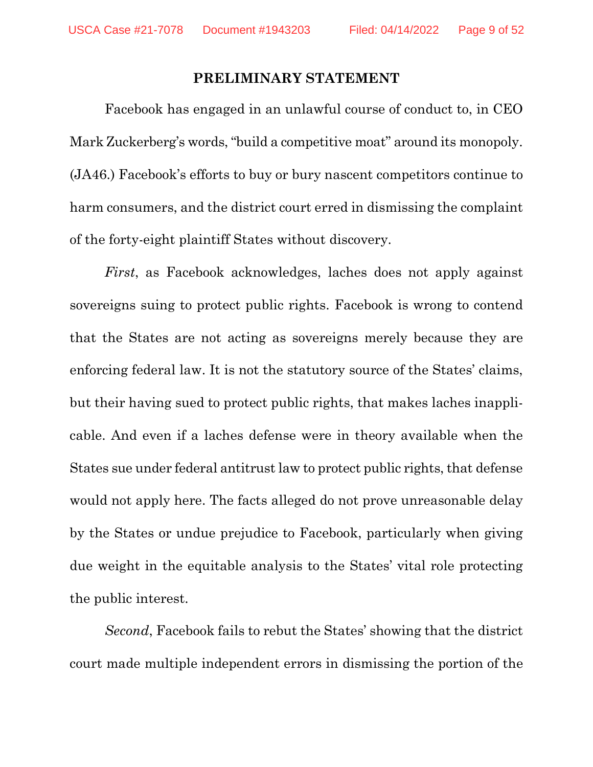#### **PRELIMINARY STATEMENT**

<span id="page-8-0"></span>Facebook has engaged in an unlawful course of conduct to, in CEO Mark Zuckerberg's words, "build a competitive moat" around its monopoly. (JA46.) Facebook's efforts to buy or bury nascent competitors continue to harm consumers, and the district court erred in dismissing the complaint of the forty-eight plaintiff States without discovery.

*First*, as Facebook acknowledges, laches does not apply against sovereigns suing to protect public rights. Facebook is wrong to contend that the States are not acting as sovereigns merely because they are enforcing federal law. It is not the statutory source of the States' claims, but their having sued to protect public rights, that makes laches inapplicable. And even if a laches defense were in theory available when the States sue under federal antitrust law to protect public rights, that defense would not apply here. The facts alleged do not prove unreasonable delay by the States or undue prejudice to Facebook, particularly when giving due weight in the equitable analysis to the States' vital role protecting the public interest.

*Second*, Facebook fails to rebut the States' showing that the district court made multiple independent errors in dismissing the portion of the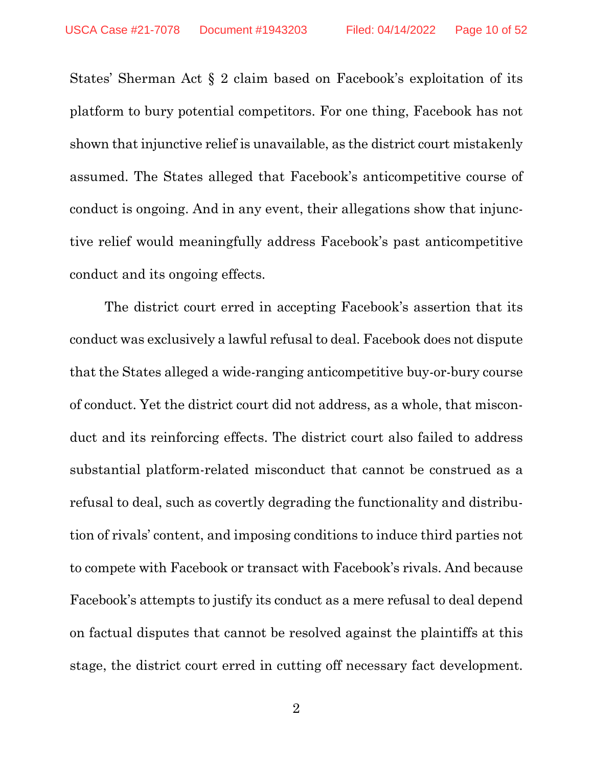States' Sherman Act § 2 claim based on Facebook's exploitation of its platform to bury potential competitors. For one thing, Facebook has not shown that injunctive relief is unavailable, as the district court mistakenly assumed. The States alleged that Facebook's anticompetitive course of conduct is ongoing. And in any event, their allegations show that injunctive relief would meaningfully address Facebook's past anticompetitive conduct and its ongoing effects.

The district court erred in accepting Facebook's assertion that its conduct was exclusively a lawful refusal to deal. Facebook does not dispute that the States alleged a wide-ranging anticompetitive buy-or-bury course of conduct. Yet the district court did not address, as a whole, that misconduct and its reinforcing effects. The district court also failed to address substantial platform-related misconduct that cannot be construed as a refusal to deal, such as covertly degrading the functionality and distribution of rivals' content, and imposing conditions to induce third parties not to compete with Facebook or transact with Facebook's rivals. And because Facebook's attempts to justify its conduct as a mere refusal to deal depend on factual disputes that cannot be resolved against the plaintiffs at this stage, the district court erred in cutting off necessary fact development.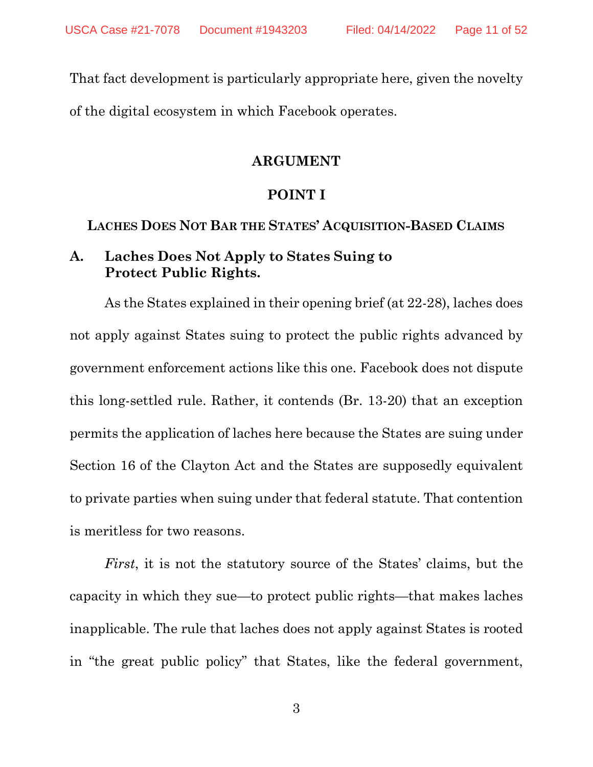<span id="page-10-0"></span>That fact development is particularly appropriate here, given the novelty of the digital ecosystem in which Facebook operates.

#### **ARGUMENT**

#### **POINT I**

<span id="page-10-2"></span><span id="page-10-1"></span>**LACHES DOES NOT BAR THE STATES' ACQUISITION-BASED CLAIMS** 

#### <span id="page-10-3"></span>**A. Laches Does Not Apply to States Suing to Protect Public Rights.**

As the States explained in their opening brief (at 22-28), laches does not apply against States suing to protect the public rights advanced by government enforcement actions like this one. Facebook does not dispute this long-settled rule. Rather, it contends (Br. 13-20) that an exception permits the application of laches here because the States are suing under Section 16 of the Clayton Act and the States are supposedly equivalent to private parties when suing under that federal statute. That contention is meritless for two reasons.

*First*, it is not the statutory source of the States' claims, but the capacity in which they sue—to protect public rights—that makes laches inapplicable. The rule that laches does not apply against States is rooted in "the great public policy" that States, like the federal government,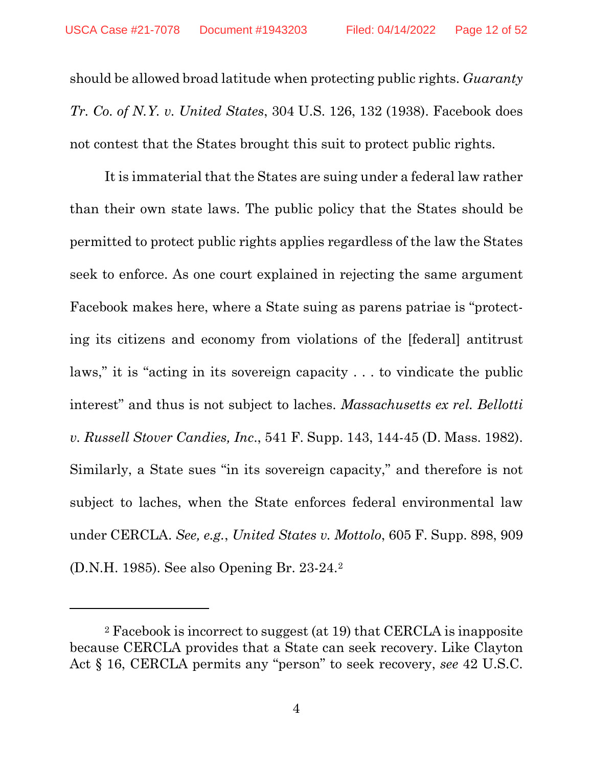should be allowed broad latitude when protecting public rights. *Guaranty Tr. Co. of N.Y. v. United States*, 304 U.S. 126, 132 (1938). Facebook does not contest that the States brought this suit to protect public rights.

It is immaterial that the States are suing under a federal law rather than their own state laws. The public policy that the States should be permitted to protect public rights applies regardless of the law the States seek to enforce. As one court explained in rejecting the same argument Facebook makes here, where a State suing as parens patriae is "protecting its citizens and economy from violations of the [federal] antitrust laws," it is "acting in its sovereign capacity . . . to vindicate the public interest" and thus is not subject to laches. *Massachusetts ex rel. Bellotti v. Russell Stover Candies, Inc*., 541 F. Supp. 143, 144-45 (D. Mass. 1982). Similarly, a State sues "in its sovereign capacity," and therefore is not subject to laches, when the State enforces federal environmental law under CERCLA. *See, e.g.*, *United States v. Mottolo*, 605 F. Supp. 898, 909 (D.N.H. 1985). See also Opening Br. 23-24.[2](#page-11-0)

<span id="page-11-0"></span><sup>2</sup> Facebook is incorrect to suggest (at 19) that CERCLA is inapposite because CERCLA provides that a State can seek recovery. Like Clayton Act § 16, CERCLA permits any "person" to seek recovery, *see* 42 U.S.C.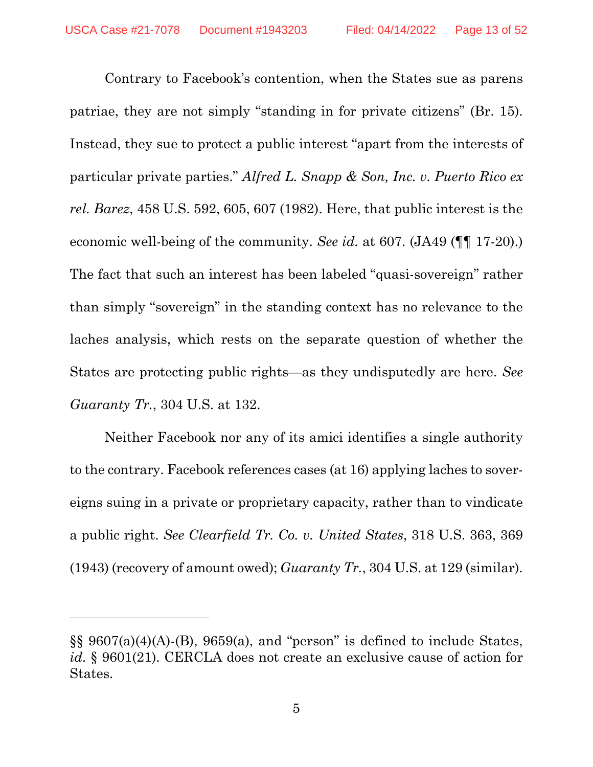Contrary to Facebook's contention, when the States sue as parens patriae, they are not simply "standing in for private citizens" (Br. 15). Instead, they sue to protect a public interest "apart from the interests of particular private parties." *Alfred L. Snapp & Son, Inc. v. Puerto Rico ex rel. Barez*, 458 U.S. 592, 605, 607 (1982). Here, that public interest is the economic well-being of the community. *See id.* at 607. (JA49 (¶¶ 17-20).) The fact that such an interest has been labeled "quasi-sovereign" rather than simply "sovereign" in the standing context has no relevance to the laches analysis, which rests on the separate question of whether the States are protecting public rights—as they undisputedly are here. *See Guaranty Tr.*, 304 U.S. at 132.

Neither Facebook nor any of its amici identifies a single authority to the contrary. Facebook references cases (at 16) applying laches to sovereigns suing in a private or proprietary capacity, rather than to vindicate a public right. *See Clearfield Tr. Co. v. United States*, 318 U.S. 363, 369 (1943) (recovery of amount owed); *Guaranty Tr.*, 304 U.S. at 129 (similar).

 $\S$ §9607(a)(4)(A)-(B), 9659(a), and "person" is defined to include States, *id.* § 9601(21). CERCLA does not create an exclusive cause of action for States.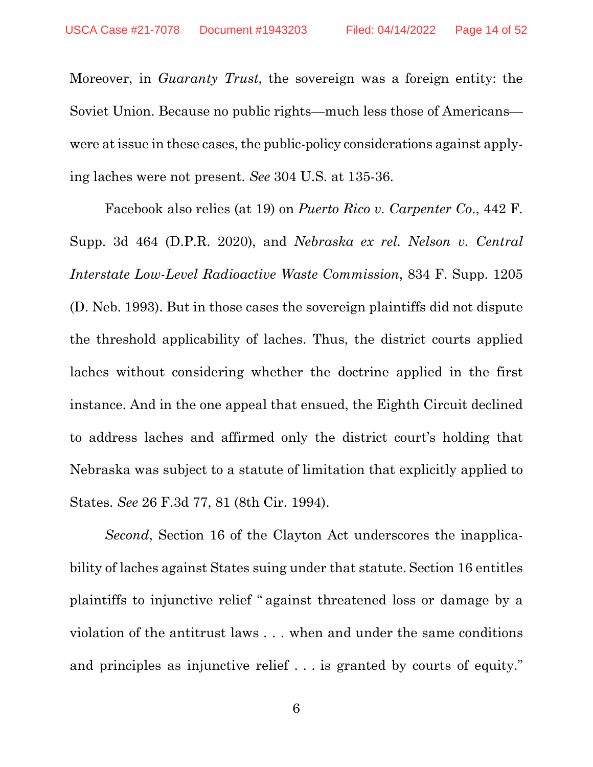Moreover, in *Guaranty Trust*, the sovereign was a foreign entity: the Soviet Union. Because no public rights—much less those of Americans were at issue in these cases, the public-policy considerations against applying laches were not present. *See* 304 U.S. at 135-36.

Facebook also relies (at 19) on *Puerto Rico v. Carpenter Co*., 442 F. Supp. 3d 464 (D.P.R. 2020), and *Nebraska ex rel. Nelson v. Central Interstate Low-Level Radioactive Waste Commission*, 834 F. Supp. 1205 (D. Neb. 1993). But in those cases the sovereign plaintiffs did not dispute the threshold applicability of laches. Thus, the district courts applied laches without considering whether the doctrine applied in the first instance. And in the one appeal that ensued, the Eighth Circuit declined to address laches and affirmed only the district court's holding that Nebraska was subject to a statute of limitation that explicitly applied to States. *See* 26 F.3d 77, 81 (8th Cir. 1994).

*Second*, Section 16 of the Clayton Act underscores the inapplicability of laches against States suing under that statute. Section 16 entitles plaintiffs to injunctive relief " against threatened loss or damage by a violation of the antitrust laws ... when and under the same conditions and principles as injunctive relief ... is granted by courts of equity."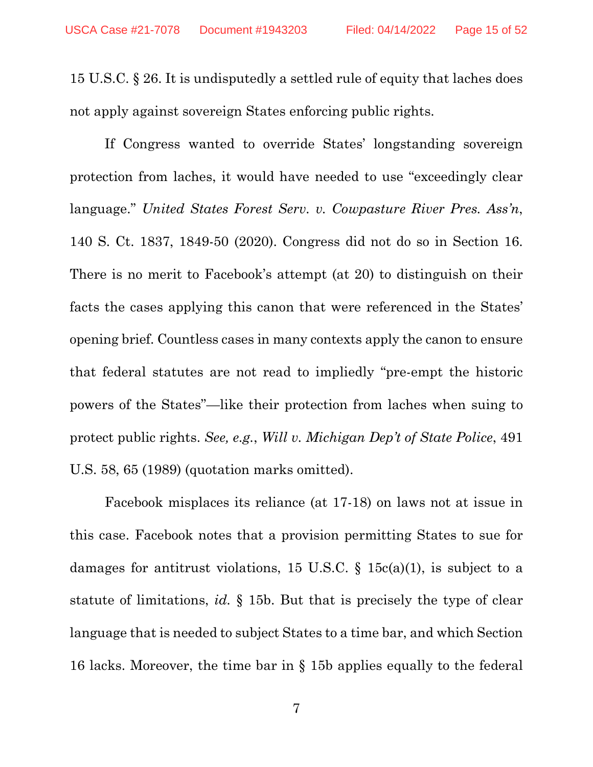15 U.S.C. § 26. It is undisputedly a settled rule of equity that laches does not apply against sovereign States enforcing public rights.

If Congress wanted to override States' longstanding sovereign protection from laches, it would have needed to use "exceedingly clear language." *United States Forest Serv. v. Cowpasture River Pres. Ass'n*, 140 S. Ct. 1837, 1849-50 (2020). Congress did not do so in Section 16. There is no merit to Facebook's attempt (at 20) to distinguish on their facts the cases applying this canon that were referenced in the States' opening brief. Countless cases in many contexts apply the canon to ensure that federal statutes are not read to impliedly "pre-empt the historic powers of the States"—like their protection from laches when suing to protect public rights. *See, e.g.*, *Will v. Michigan Dep't of State Police*, 491 U.S. 58, 65 (1989) (quotation marks omitted).

Facebook misplaces its reliance (at 17-18) on laws not at issue in this case. Facebook notes that a provision permitting States to sue for damages for antitrust violations, 15 U.S.C.  $\S$  15c(a)(1), is subject to a statute of limitations, *id.* § 15b. But that is precisely the type of clear language that is needed to subject States to a time bar, and which Section 16 lacks. Moreover, the time bar in § 15b applies equally to the federal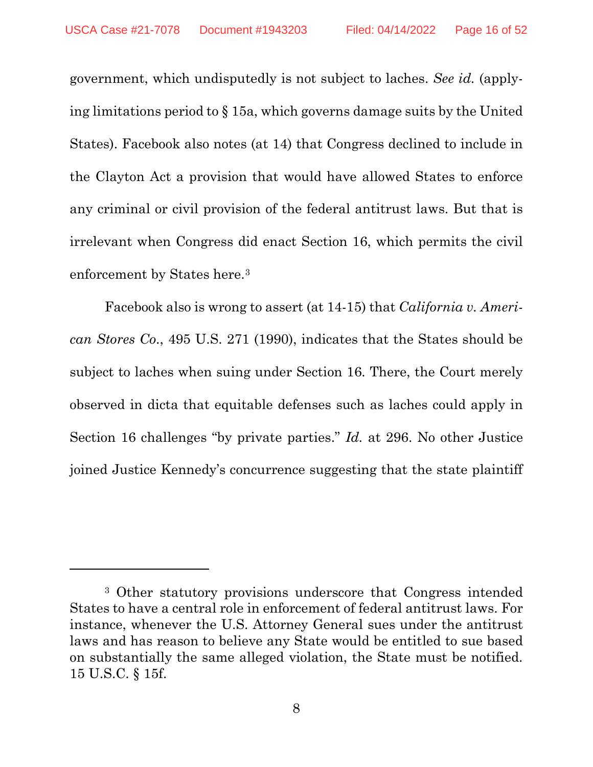government, which undisputedly is not subject to laches. *See id.* (applying limitations period to § 15a, which governs damage suits by the United States). Facebook also notes (at 14) that Congress declined to include in the Clayton Act a provision that would have allowed States to enforce any criminal or civil provision of the federal antitrust laws. But that is irrelevant when Congress did enact Section 16, which permits the civil enforcement by States here.[3](#page-15-0)

Facebook also is wrong to assert (at 14-15) that *California v. American Stores Co*., 495 U.S. 271 (1990), indicates that the States should be subject to laches when suing under Section 16. There, the Court merely observed in dicta that equitable defenses such as laches could apply in Section 16 challenges "by private parties." *Id.* at 296. No other Justice joined Justice Kennedy's concurrence suggesting that the state plaintiff

<span id="page-15-0"></span><sup>3</sup> Other statutory provisions underscore that Congress intended States to have a central role in enforcement of federal antitrust laws. For instance, whenever the U.S. Attorney General sues under the antitrust laws and has reason to believe any State would be entitled to sue based on substantially the same alleged violation, the State must be notified. 15 U.S.C. § 15f.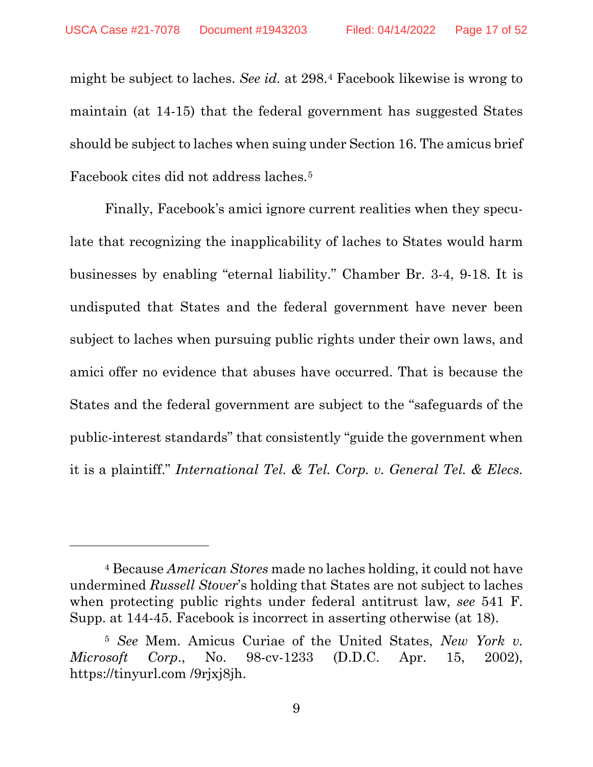might be subject to laches. *See id.* at 298.[4](#page-16-0) Facebook likewise is wrong to maintain (at 14-15) that the federal government has suggested States should be subject to laches when suing under Section 16. The amicus brief Facebook cites did not address laches.[5](#page-16-1) 

Finally, Facebook's amici ignore current realities when they speculate that recognizing the inapplicability of laches to States would harm businesses by enabling "eternal liability." Chamber Br. 3-4, 9-18. It is undisputed that States and the federal government have never been subject to laches when pursuing public rights under their own laws, and amici offer no evidence that abuses have occurred. That is because the States and the federal government are subject to the "safeguards of the public-interest standards" that consistently "guide the government when it is a plaintiff." *International Tel. & Tel. Corp. v. General Tel. & Elecs.* 

<span id="page-16-0"></span><sup>4</sup> Because *American Stores* made no laches holding, it could not have undermined *Russell Stover*'s holding that States are not subject to laches when protecting public rights under federal antitrust law, *see* 541 F. Supp. at 144-45. Facebook is incorrect in asserting otherwise (at 18).

<span id="page-16-1"></span><sup>5</sup> *See* Mem. Amicus Curiae of the United States, *New York v. Microsoft Corp*., No. 98-cv-1233 (D.D.C. Apr. 15, 2002), https://tinyurl.com /9rjxj8jh.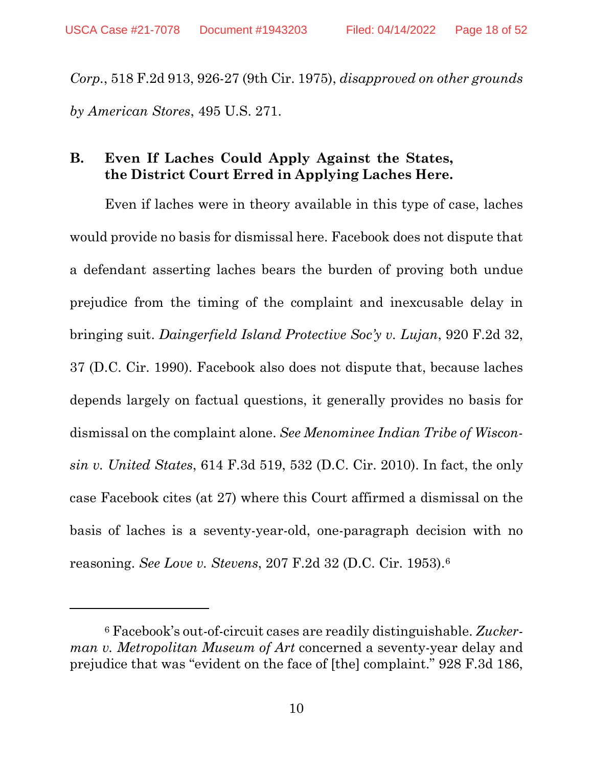*Corp.*, 518 F.2d 913, 926-27 (9th Cir. 1975), *disapproved on other grounds by American Stores*, 495 U.S. 271.

### <span id="page-17-0"></span>**B. Even If Laches Could Apply Against the States, the District Court Erred in Applying Laches Here.**

Even if laches were in theory available in this type of case, laches would provide no basis for dismissal here. Facebook does not dispute that a defendant asserting laches bears the burden of proving both undue prejudice from the timing of the complaint and inexcusable delay in bringing suit. *Daingerfield Island Protective Soc'y v. Lujan*, 920 F.2d 32, 37 (D.C. Cir. 1990). Facebook also does not dispute that, because laches depends largely on factual questions, it generally provides no basis for dismissal on the complaint alone. *See Menominee Indian Tribe of Wisconsin v. United States*, 614 F.3d 519, 532 (D.C. Cir. 2010). In fact, the only case Facebook cites (at 27) where this Court affirmed a dismissal on the basis of laches is a seventy-year-old, one-paragraph decision with no reasoning. *See Love v. Stevens*, 207 F.2d 32 (D.C. Cir. 1953).[6](#page-17-1)

<span id="page-17-1"></span><sup>6</sup> Facebook's out-of-circuit cases are readily distinguishable. *Zuckerman v. Metropolitan Museum of Art* concerned a seventy-year delay and prejudice that was "evident on the face of [the] complaint." 928 F.3d 186,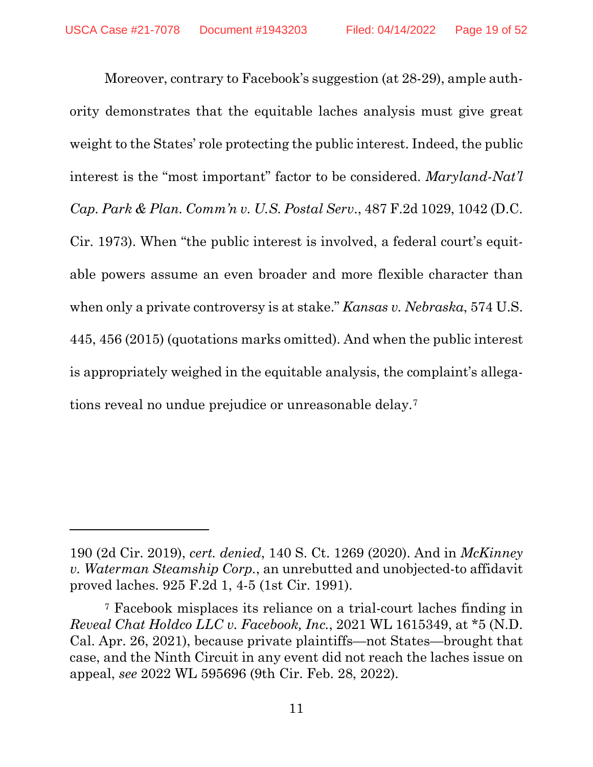Moreover, contrary to Facebook's suggestion (at 28-29), ample authority demonstrates that the equitable laches analysis must give great weight to the States' role protecting the public interest. Indeed, the public interest is the "most important" factor to be considered. *Maryland-Nat'l Cap. Park & Plan. Comm'n v. U.S. Postal Serv*., 487 F.2d 1029, 1042 (D.C. Cir. 1973). When "the public interest is involved, a federal court's equitable powers assume an even broader and more flexible character than when only a private controversy is at stake." *Kansas v. Nebraska*, 574 U.S. 445, 456 (2015) (quotations marks omitted). And when the public interest is appropriately weighed in the equitable analysis, the complaint's allegations reveal no undue prejudice or unreasonable delay.[7](#page-18-0)

<sup>190 (2</sup>d Cir. 2019), *cert. denied*, 140 S. Ct. 1269 (2020). And in *McKinney v. Waterman Steamship Corp.*, an unrebutted and unobjected-to affidavit proved laches. 925 F.2d 1, 4-5 (1st Cir. 1991).

<span id="page-18-0"></span><sup>7</sup> Facebook misplaces its reliance on a trial-court laches finding in *Reveal Chat Holdco LLC v. Facebook, Inc.*, 2021 WL 1615349, at \*5 (N.D. Cal. Apr. 26, 2021), because private plaintiffs—not States—brought that case, and the Ninth Circuit in any event did not reach the laches issue on appeal, *see* 2022 WL 595696 (9th Cir. Feb. 28, 2022).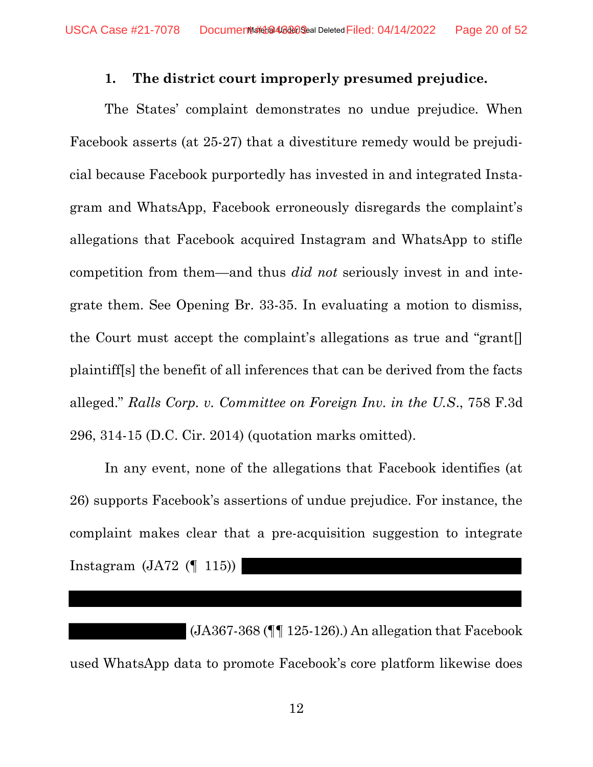#### 1. The district court improperly presumed prejudice.

<span id="page-19-0"></span>The States' complaint demonstrates no undue prejudice. When Facebook asserts (at 25-27) that a divestiture remedy would be prejudicial because Facebook purportedly has invested in and integrated Instagram and WhatsApp, Facebook erroneously disregards the complaint's allegations that Facebook acquired Instagram and WhatsApp to stifle competition from them—and thus did not seriously invest in and integrate them. See Opening Br. 33-35. In evaluating a motion to dismiss, the Court must accept the complaint's allegations as true and "grant[] plaintiff[s] the benefit of all inferences that can be derived from the facts alleged." Ralls Corp. v. Committee on Foreign Inv. in the U.S., 758 F.3d 296, 314-15 (D.C. Cir. 2014) (quotation marks omitted).

In any event, none of the allegations that Facebook identifies (at 26) supports Facebook's assertions of undue prejudice. For instance, the complaint makes clear that a pre-acquisition suggestion to integrate Instagram  $(JA72$  (115))

 (JA367-368 (¶¶ 125-126).) An allegation that Facebook used WhatsApp data to promote Facebook's core platform likewise does

12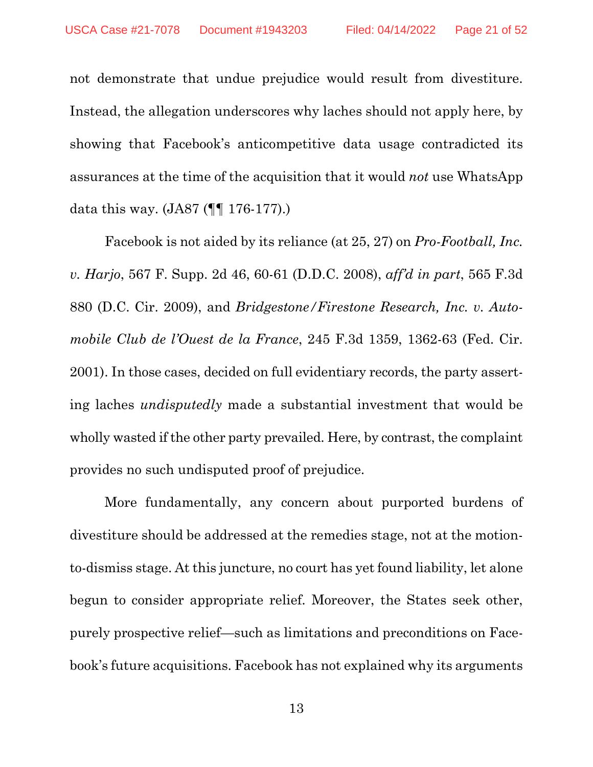not demonstrate that undue prejudice would result from divestiture. Instead, the allegation underscores why laches should not apply here, by showing that Facebook's anticompetitive data usage contradicted its assurances at the time of the acquisition that it would *not* use WhatsApp data this way. (JA87 (¶¶ 176-177).)

Facebook is not aided by its reliance (at 25, 27) on *Pro-Football, Inc. v. Harjo*, 567 F. Supp. 2d 46, 60-61 (D.D.C. 2008), *aff'd in part*, 565 F.3d 880 (D.C. Cir. 2009), and *Bridgestone/Firestone Research, Inc. v. Automobile Club de l'Ouest de la France*, 245 F.3d 1359, 1362-63 (Fed. Cir. 2001). In those cases, decided on full evidentiary records, the party asserting laches *undisputedly* made a substantial investment that would be wholly wasted if the other party prevailed. Here, by contrast, the complaint provides no such undisputed proof of prejudice.

More fundamentally, any concern about purported burdens of divestiture should be addressed at the remedies stage, not at the motionto-dismiss stage. At this juncture, no court has yet found liability, let alone begun to consider appropriate relief. Moreover, the States seek other, purely prospective relief—such as limitations and preconditions on Facebook's future acquisitions. Facebook has not explained why its arguments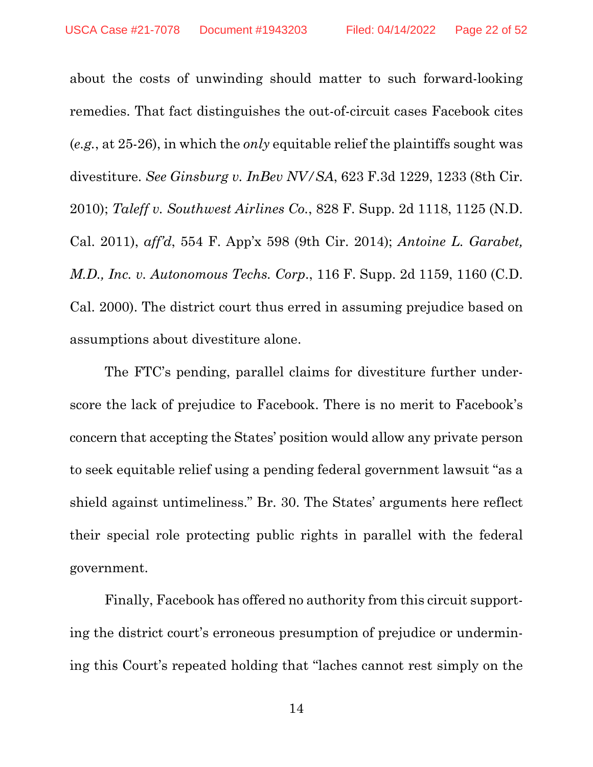about the costs of unwinding should matter to such forward-looking remedies. That fact distinguishes the out-of-circuit cases Facebook cites (*e.g.*, at 25-26), in which the *only* equitable relief the plaintiffs sought was divestiture. *See Ginsburg v. InBev NV/SA*, 623 F.3d 1229, 1233 (8th Cir. 2010); *Taleff v. Southwest Airlines Co.*, 828 F. Supp. 2d 1118, 1125 (N.D. Cal. 2011), *aff'd*, 554 F. App'x 598 (9th Cir. 2014); *Antoine L. Garabet, M.D., Inc. v. Autonomous Techs. Corp*., 116 F. Supp. 2d 1159, 1160 (C.D. Cal. 2000). The district court thus erred in assuming prejudice based on assumptions about divestiture alone.

The FTC's pending, parallel claims for divestiture further underscore the lack of prejudice to Facebook. There is no merit to Facebook's concern that accepting the States' position would allow any private person to seek equitable relief using a pending federal government lawsuit "as a shield against untimeliness." Br. 30. The States' arguments here reflect their special role protecting public rights in parallel with the federal government.

Finally, Facebook has offered no authority from this circuit supporting the district court's erroneous presumption of prejudice or undermining this Court's repeated holding that "laches cannot rest simply on the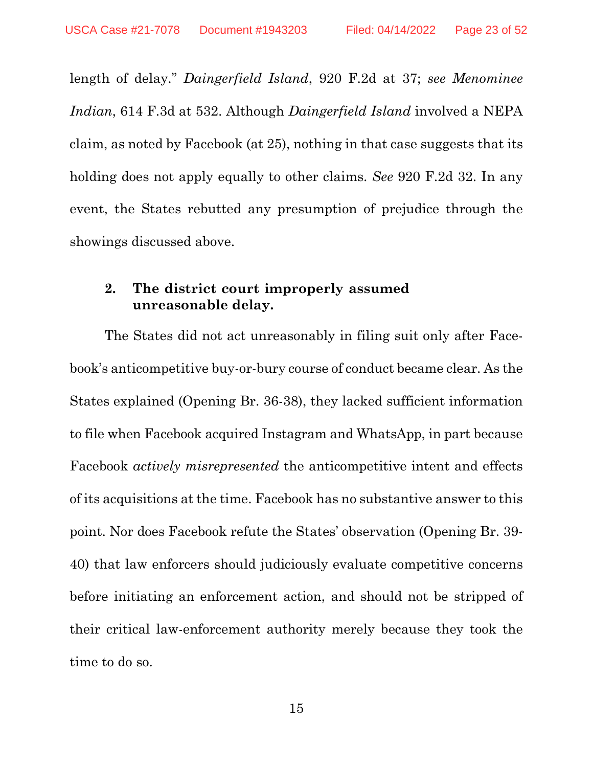length of delay." *Daingerfield Island*, 920 F.2d at 37; *see Menominee Indian*, 614 F.3d at 532. Although *Daingerfield Island* involved a NEPA claim, as noted by Facebook (at 25), nothing in that case suggests that its holding does not apply equally to other claims. *See* 920 F.2d 32. In any event, the States rebutted any presumption of prejudice through the showings discussed above.

#### <span id="page-22-0"></span>**2. The district court improperly assumed unreasonable delay.**

The States did not act unreasonably in filing suit only after Facebook's anticompetitive buy-or-bury course of conduct became clear. As the States explained (Opening Br. 36-38), they lacked sufficient information to file when Facebook acquired Instagram and WhatsApp, in part because Facebook *actively misrepresented* the anticompetitive intent and effects of its acquisitions at the time. Facebook has no substantive answer to this point. Nor does Facebook refute the States' observation (Opening Br. 39- 40) that law enforcers should judiciously evaluate competitive concerns before initiating an enforcement action, and should not be stripped of their critical law-enforcement authority merely because they took the time to do so.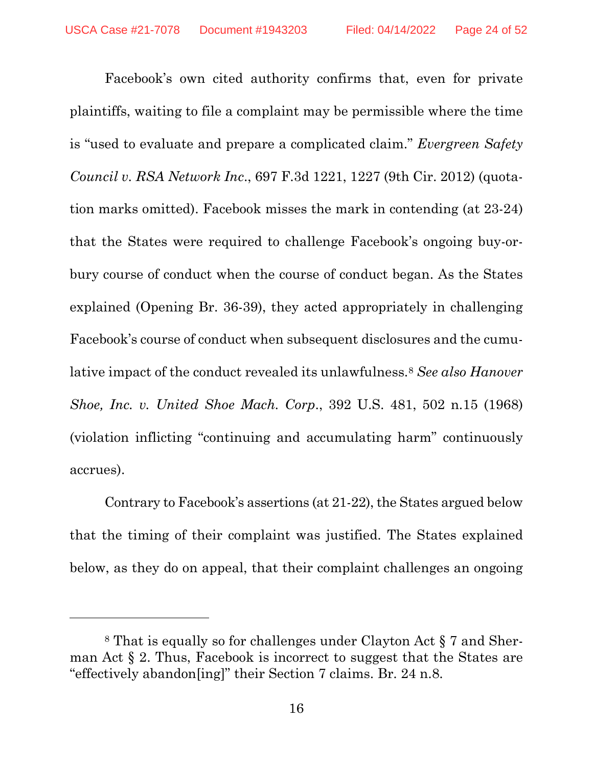Facebook's own cited authority confirms that, even for private plaintiffs, waiting to file a complaint may be permissible where the time is "used to evaluate and prepare a complicated claim." *Evergreen Safety Council v. RSA Network Inc*., 697 F.3d 1221, 1227 (9th Cir. 2012) (quotation marks omitted). Facebook misses the mark in contending (at 23-24) that the States were required to challenge Facebook's ongoing buy-orbury course of conduct when the course of conduct began. As the States explained (Opening Br. 36-39), they acted appropriately in challenging Facebook's course of conduct when subsequent disclosures and the cumulative impact of the conduct revealed its unlawfulness.[8](#page-23-0) *See also Hanover Shoe, Inc. v. United Shoe Mach. Corp*., 392 U.S. 481, 502 n.15 (1968) (violation inflicting "continuing and accumulating harm" continuously accrues).

Contrary to Facebook's assertions (at 21-22), the States argued below that the timing of their complaint was justified. The States explained below, as they do on appeal, that their complaint challenges an ongoing

<span id="page-23-0"></span><sup>8</sup> That is equally so for challenges under Clayton Act § 7 and Sherman Act § 2. Thus, Facebook is incorrect to suggest that the States are "effectively abandon[ing]" their Section 7 claims. Br. 24 n.8.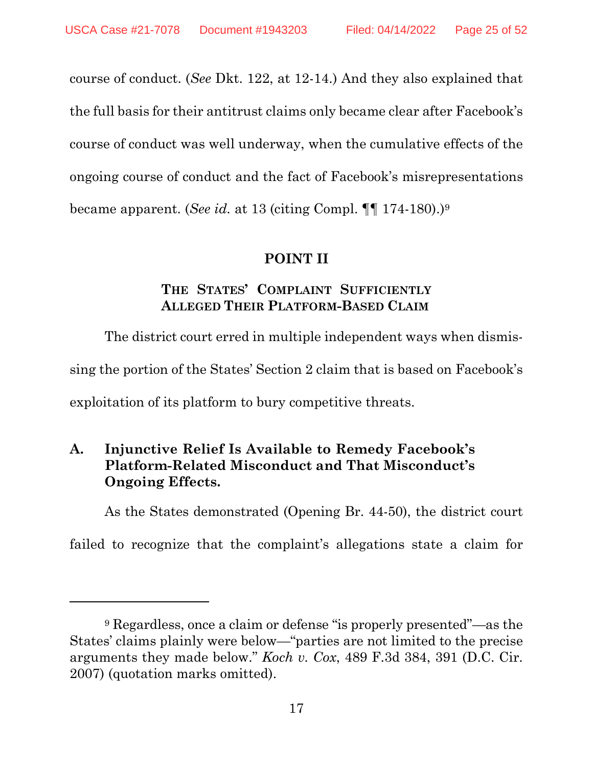course of conduct. (*See* Dkt. 122, at 12-14.) And they also explained that the full basis for their antitrust claims only became clear after Facebook's course of conduct was well underway, when the cumulative effects of the ongoing course of conduct and the fact of Facebook's misrepresentations became apparent. (*See id.* at 13 (citing Compl. ¶¶ 174-180).[\)9](#page-24-3)

#### **POINT II**

#### **THE STATES' COMPLAINT SUFFICIENTLY ALLEGED THEIR PLATFORM-BASED CLAIM**

<span id="page-24-1"></span><span id="page-24-0"></span>The district court erred in multiple independent ways when dismissing the portion of the States' Section 2 claim that is based on Facebook's exploitation of its platform to bury competitive threats.

### <span id="page-24-2"></span>**A. Injunctive Relief Is Available to Remedy Facebook's Platform-Related Misconduct and That Misconduct's Ongoing Effects.**

As the States demonstrated (Opening Br. 44-50), the district court

failed to recognize that the complaint's allegations state a claim for

<span id="page-24-3"></span><sup>9</sup> Regardless, once a claim or defense "is properly presented"—as the States' claims plainly were below—"parties are not limited to the precise arguments they made below." *Koch v. Cox*, 489 F.3d 384, 391 (D.C. Cir. 2007) (quotation marks omitted).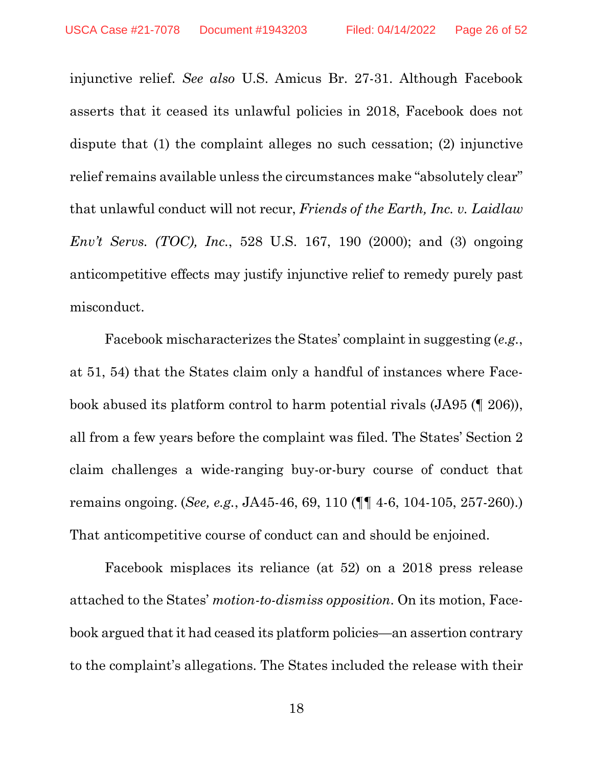injunctive relief. *See also* U.S. Amicus Br. 27-31. Although Facebook asserts that it ceased its unlawful policies in 2018, Facebook does not dispute that (1) the complaint alleges no such cessation; (2) injunctive relief remains available unless the circumstances make "absolutely clear" that unlawful conduct will not recur, *Friends of the Earth, Inc. v. Laidlaw Env't Servs. (TOC), Inc.*, 528 U.S. 167, 190 (2000); and (3) ongoing anticompetitive effects may justify injunctive relief to remedy purely past misconduct.

Facebook mischaracterizes the States' complaint in suggesting (*e.g.*, at 51, 54) that the States claim only a handful of instances where Facebook abused its platform control to harm potential rivals (JA95 (¶ 206)), all from a few years before the complaint was filed. The States' Section 2 claim challenges a wide-ranging buy-or-bury course of conduct that remains ongoing. (*See, e.g.*, JA45-46, 69, 110 (¶¶ 4-6, 104-105, 257-260).) That anticompetitive course of conduct can and should be enjoined.

Facebook misplaces its reliance (at 52) on a 2018 press release attached to the States' *motion-to-dismiss opposition*. On its motion, Facebook argued that it had ceased its platform policies—an assertion contrary to the complaint's allegations. The States included the release with their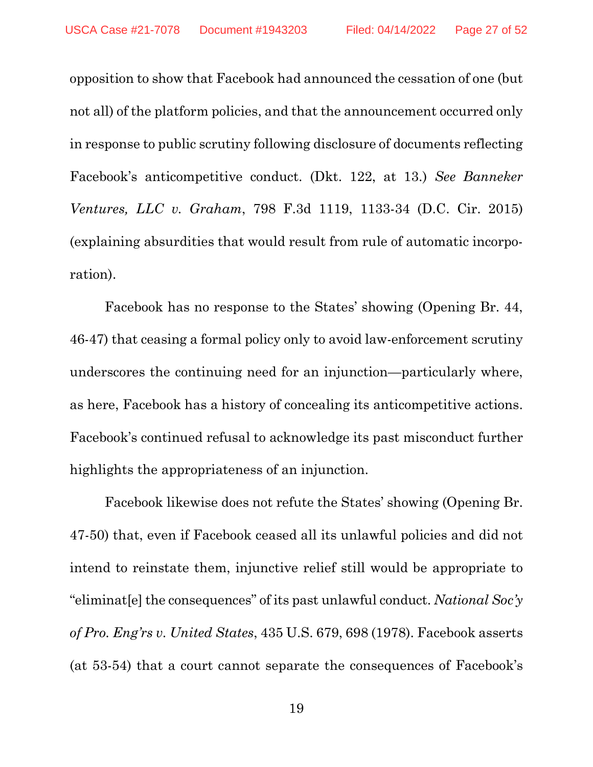opposition to show that Facebook had announced the cessation of one (but not all) of the platform policies, and that the announcement occurred only in response to public scrutiny following disclosure of documents reflecting Facebook's anticompetitive conduct. (Dkt. 122, at 13.) *See Banneker Ventures, LLC v. Graham*, 798 F.3d 1119, 1133-34 (D.C. Cir. 2015) (explaining absurdities that would result from rule of automatic incorporation).

Facebook has no response to the States' showing (Opening Br. 44, 46-47) that ceasing a formal policy only to avoid law-enforcement scrutiny underscores the continuing need for an injunction—particularly where, as here, Facebook has a history of concealing its anticompetitive actions. Facebook's continued refusal to acknowledge its past misconduct further highlights the appropriateness of an injunction.

Facebook likewise does not refute the States' showing (Opening Br. 47-50) that, even if Facebook ceased all its unlawful policies and did not intend to reinstate them, injunctive relief still would be appropriate to "eliminat[e] the consequences" of its past unlawful conduct. *National Soc'y of Pro. Eng'rs v. United States*, 435 U.S. 679, 698 (1978). Facebook asserts (at 53-54) that a court cannot separate the consequences of Facebook's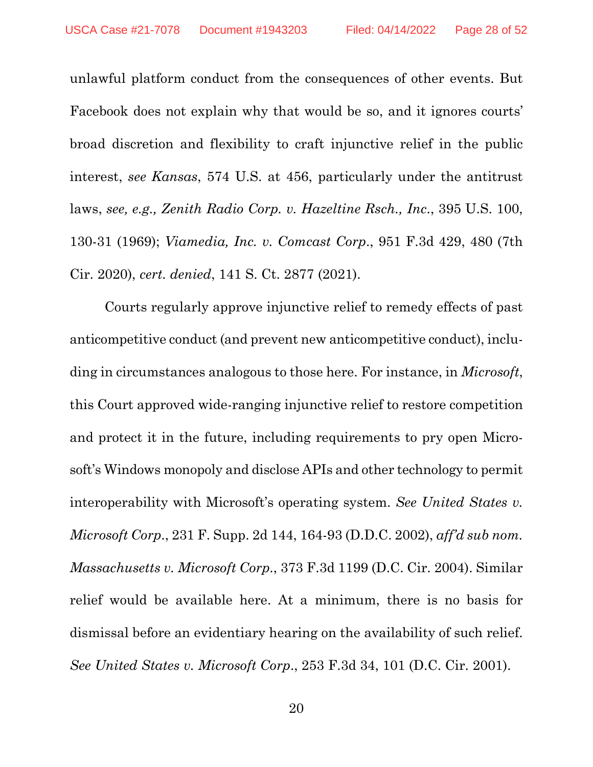unlawful platform conduct from the consequences of other events. But Facebook does not explain why that would be so, and it ignores courts' broad discretion and flexibility to craft injunctive relief in the public interest, *see Kansas*, 574 U.S. at 456, particularly under the antitrust laws, *see, e.g., Zenith Radio Corp. v. Hazeltine Rsch., Inc*., 395 U.S. 100, 130-31 (1969); *Viamedia, Inc. v. Comcast Corp*., 951 F.3d 429, 480 (7th Cir. 2020), *cert. denied*, 141 S. Ct. 2877 (2021).

Courts regularly approve injunctive relief to remedy effects of past anticompetitive conduct (and prevent new anticompetitive conduct), including in circumstances analogous to those here. For instance, in *Microsoft*, this Court approved wide-ranging injunctive relief to restore competition and protect it in the future, including requirements to pry open Microsoft's Windows monopoly and disclose APIs and other technology to permit interoperability with Microsoft's operating system. *See United States v. Microsoft Corp*., 231 F. Supp. 2d 144, 164-93 (D.D.C. 2002), *aff'd sub nom. Massachusetts v. Microsoft Corp*., 373 F.3d 1199 (D.C. Cir. 2004). Similar relief would be available here. At a minimum, there is no basis for dismissal before an evidentiary hearing on the availability of such relief. *See United States v. Microsoft Corp*., 253 F.3d 34, 101 (D.C. Cir. 2001).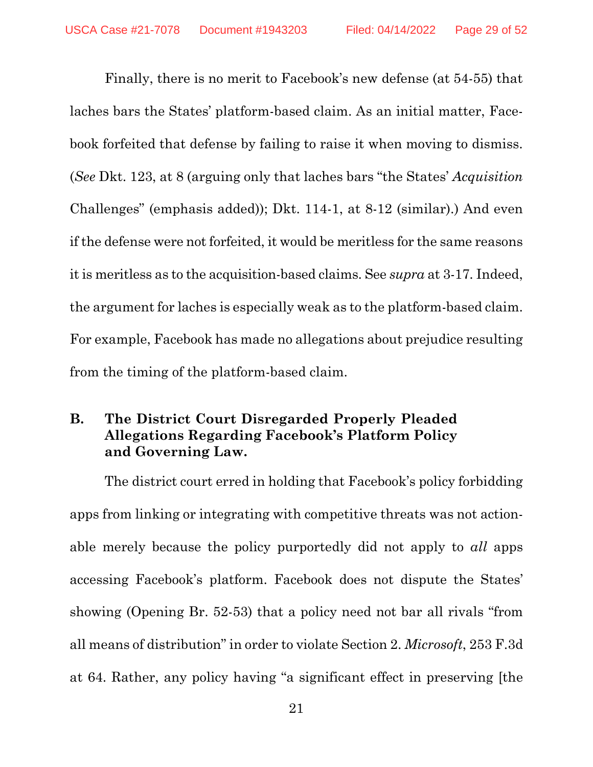Finally, there is no merit to Facebook's new defense (at 54-55) that laches bars the States' platform-based claim. As an initial matter, Facebook forfeited that defense by failing to raise it when moving to dismiss. (*See* Dkt. 123, at 8 (arguing only that laches bars "the States' *Acquisition*  Challenges" (emphasis added)); Dkt. 114-1, at 8-12 (similar).) And even if the defense were not forfeited, it would be meritless for the same reasons it is meritless as to the acquisition-based claims. See *supra* at 3-17. Indeed, the argument for laches is especially weak as to the platform-based claim. For example, Facebook has made no allegations about prejudice resulting from the timing of the platform-based claim.

#### <span id="page-28-0"></span>**B. The District Court Disregarded Properly Pleaded Allegations Regarding Facebook's Platform Policy and Governing Law.**

The district court erred in holding that Facebook's policy forbidding apps from linking or integrating with competitive threats was not actionable merely because the policy purportedly did not apply to *all* apps accessing Facebook's platform. Facebook does not dispute the States' showing (Opening Br. 52-53) that a policy need not bar all rivals "from all means of distribution" in order to violate Section 2. *Microsoft*, 253 F.3d at 64. Rather, any policy having "a significant effect in preserving [the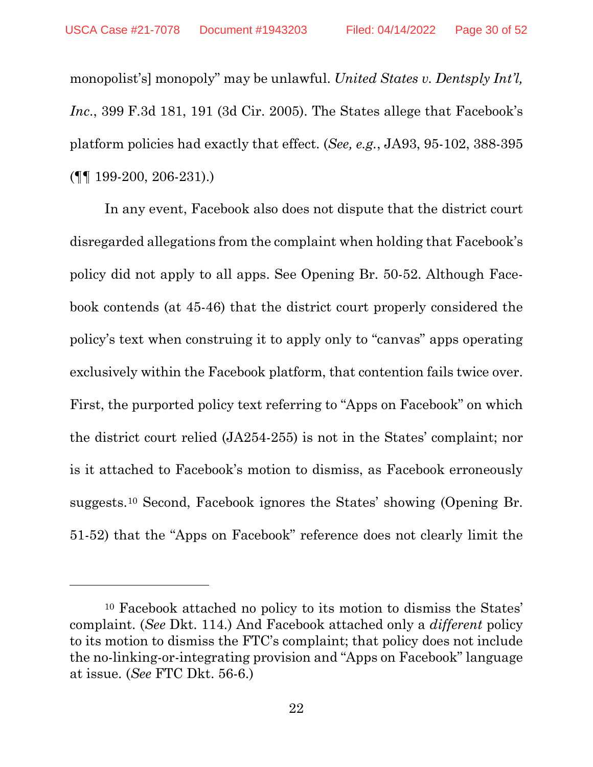monopolist's] monopoly" may be unlawful. *United States v. Dentsply Int'l, Inc*., 399 F.3d 181, 191 (3d Cir. 2005). The States allege that Facebook's platform policies had exactly that effect. (*See, e.g.*, JA93, 95-102, 388-395 (¶¶ 199-200, 206-231).)

In any event, Facebook also does not dispute that the district court disregarded allegations from the complaint when holding that Facebook's policy did not apply to all apps. See Opening Br. 50-52. Although Facebook contends (at 45-46) that the district court properly considered the policy's text when construing it to apply only to "canvas" apps operating exclusively within the Facebook platform, that contention fails twice over. First, the purported policy text referring to "Apps on Facebook" on which the district court relied (JA254-255) is not in the States' complaint; nor is it attached to Facebook's motion to dismiss, as Facebook erroneously suggests.[10](#page-29-0) Second, Facebook ignores the States' showing (Opening Br. 51-52) that the "Apps on Facebook" reference does not clearly limit the

<span id="page-29-0"></span><sup>10</sup> Facebook attached no policy to its motion to dismiss the States' complaint. (*See* Dkt. 114.) And Facebook attached only a *different* policy to its motion to dismiss the FTC's complaint; that policy does not include the no-linking-or-integrating provision and "Apps on Facebook" language at issue. (*See* FTC Dkt. 56-6.)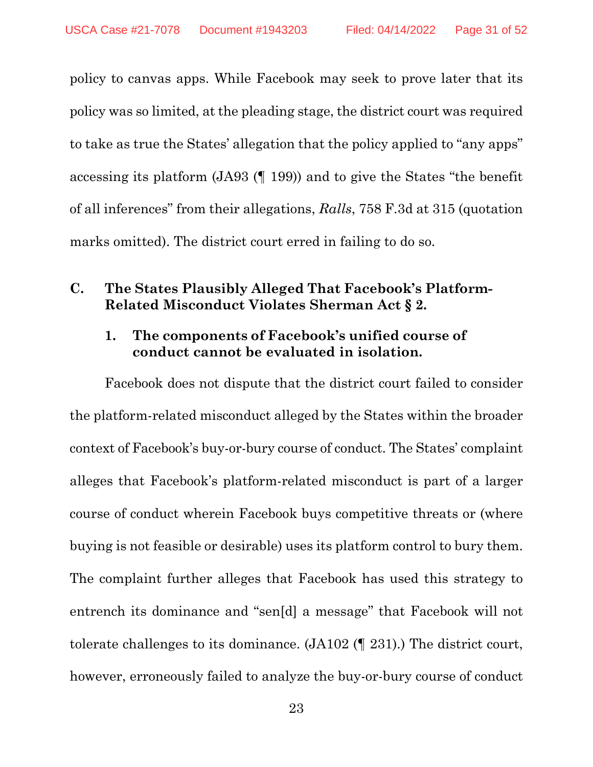policy to canvas apps. While Facebook may seek to prove later that its policy was so limited, at the pleading stage, the district court was required to take as true the States' allegation that the policy applied to "any apps" accessing its platform (JA93 (¶ 199)) and to give the States "the benefit of all inferences" from their allegations, *Ralls*, 758 F.3d at 315 (quotation marks omitted). The district court erred in failing to do so.

#### <span id="page-30-1"></span><span id="page-30-0"></span>**C. The States Plausibly Alleged That Facebook's Platform-Related Misconduct Violates Sherman Act § 2.**

#### **1. The components of Facebook's unified course of conduct cannot be evaluated in isolation.**

Facebook does not dispute that the district court failed to consider the platform-related misconduct alleged by the States within the broader context of Facebook's buy-or-bury course of conduct. The States' complaint alleges that Facebook's platform-related misconduct is part of a larger course of conduct wherein Facebook buys competitive threats or (where buying is not feasible or desirable) uses its platform control to bury them. The complaint further alleges that Facebook has used this strategy to entrench its dominance and "sen[d] a message" that Facebook will not tolerate challenges to its dominance. (JA102 (¶ 231).) The district court, however, erroneously failed to analyze the buy-or-bury course of conduct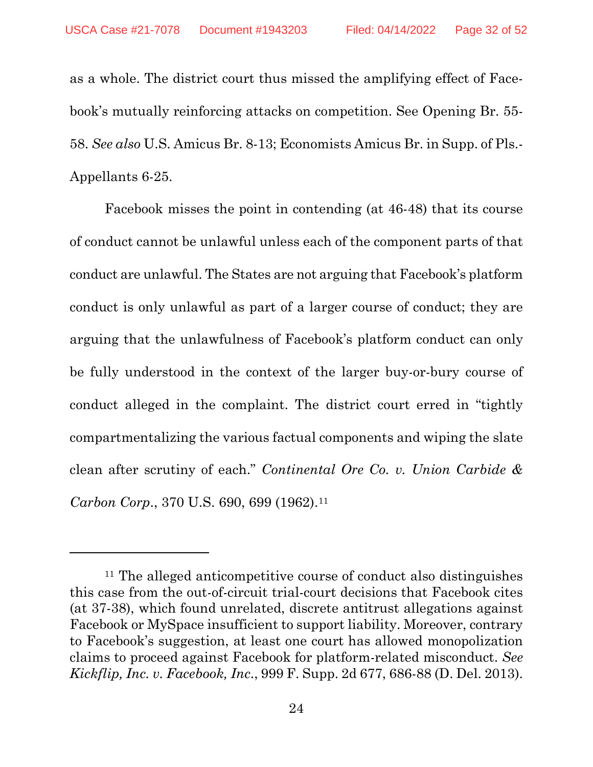as a whole. The district court thus missed the amplifying effect of Facebook's mutually reinforcing attacks on competition. See Opening Br. 55- 58. *See also* U.S. Amicus Br. 8-13; Economists Amicus Br. in Supp. of Pls.- Appellants 6-25.

Facebook misses the point in contending (at 46-48) that its course of conduct cannot be unlawful unless each of the component parts of that conduct are unlawful. The States are not arguing that Facebook's platform conduct is only unlawful as part of a larger course of conduct; they are arguing that the unlawfulness of Facebook's platform conduct can only be fully understood in the context of the larger buy-or-bury course of conduct alleged in the complaint. The district court erred in "tightly compartmentalizing the various factual components and wiping the slate clean after scrutiny of each." *Continental Ore Co. v. Union Carbide & Carbon Corp.*, 370 U.S. 690, 699 (1962).<sup>[11](#page-31-0)</sup>

<span id="page-31-0"></span><sup>11</sup> The alleged anticompetitive course of conduct also distinguishes this case from the out-of-circuit trial-court decisions that Facebook cites (at 37-38), which found unrelated, discrete antitrust allegations against Facebook or MySpace insufficient to support liability. Moreover, contrary to Facebook's suggestion, at least one court has allowed monopolization claims to proceed against Facebook for platform-related misconduct. *See Kickflip, Inc. v. Facebook, Inc*., 999 F. Supp. 2d 677, 686-88 (D. Del. 2013).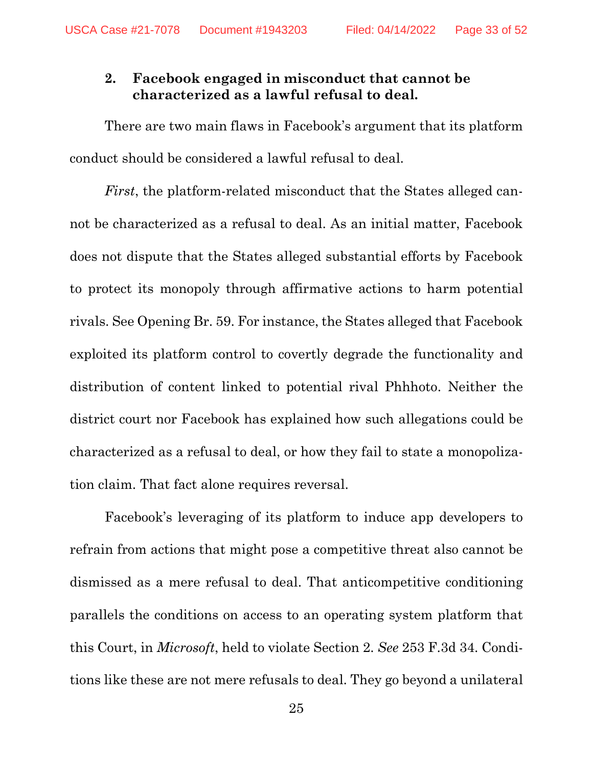#### <span id="page-32-0"></span>**2. Facebook engaged in misconduct that cannot be characterized as a lawful refusal to deal.**

There are two main flaws in Facebook's argument that its platform conduct should be considered a lawful refusal to deal.

*First*, the platform-related misconduct that the States alleged cannot be characterized as a refusal to deal. As an initial matter, Facebook does not dispute that the States alleged substantial efforts by Facebook to protect its monopoly through affirmative actions to harm potential rivals. See Opening Br. 59. For instance, the States alleged that Facebook exploited its platform control to covertly degrade the functionality and distribution of content linked to potential rival Phhhoto. Neither the district court nor Facebook has explained how such allegations could be characterized as a refusal to deal, or how they fail to state a monopolization claim. That fact alone requires reversal.

Facebook's leveraging of its platform to induce app developers to refrain from actions that might pose a competitive threat also cannot be dismissed as a mere refusal to deal. That anticompetitive conditioning parallels the conditions on access to an operating system platform that this Court, in *Microsoft*, held to violate Section 2. *See* 253 F.3d 34. Conditions like these are not mere refusals to deal. They go beyond a unilateral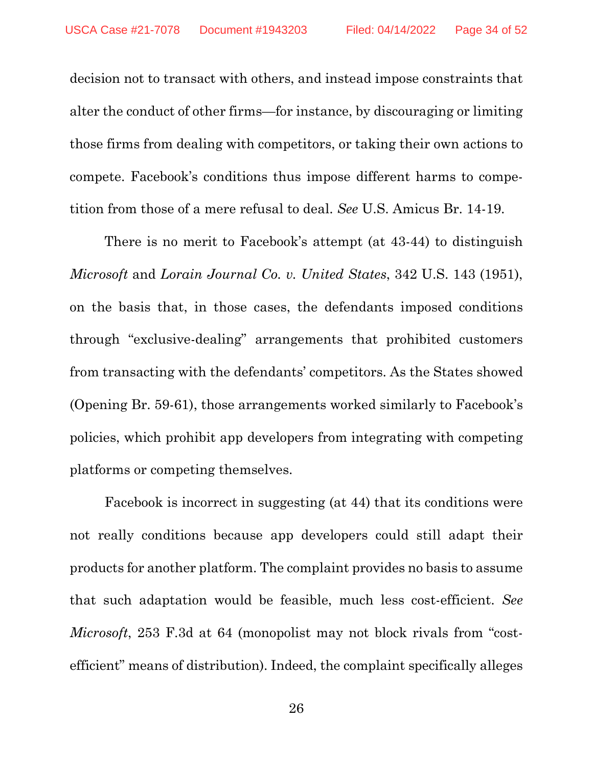decision not to transact with others, and instead impose constraints that alter the conduct of other firms—for instance, by discouraging or limiting those firms from dealing with competitors, or taking their own actions to compete. Facebook's conditions thus impose different harms to competition from those of a mere refusal to deal. *See* U.S. Amicus Br. 14-19.

There is no merit to Facebook's attempt (at 43-44) to distinguish *Microsoft* and *Lorain Journal Co. v. United States*, 342 U.S. 143 (1951), on the basis that, in those cases, the defendants imposed conditions through "exclusive-dealing" arrangements that prohibited customers from transacting with the defendants' competitors. As the States showed (Opening Br. 59-61), those arrangements worked similarly to Facebook's policies, which prohibit app developers from integrating with competing platforms or competing themselves.

Facebook is incorrect in suggesting (at 44) that its conditions were not really conditions because app developers could still adapt their products for another platform. The complaint provides no basis to assume that such adaptation would be feasible, much less cost-efficient. *See Microsoft*, 253 F.3d at 64 (monopolist may not block rivals from "costefficient" means of distribution). Indeed, the complaint specifically alleges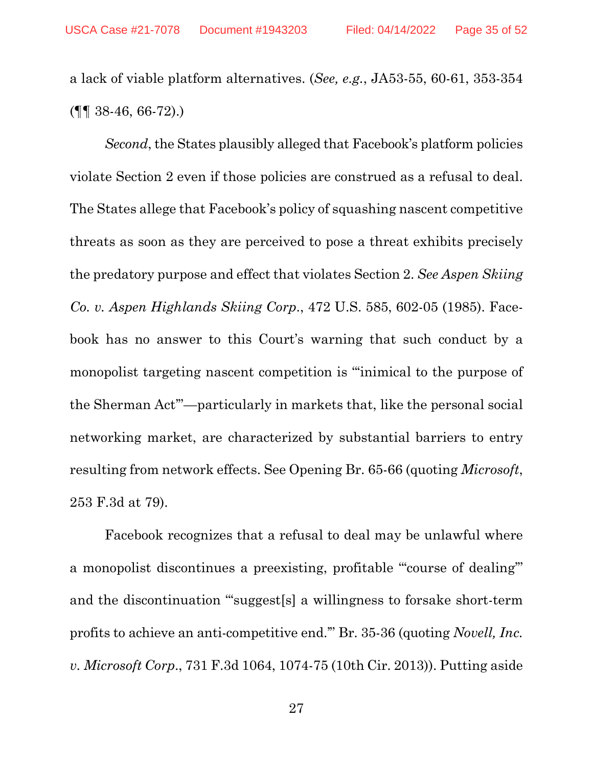a lack of viable platform alternatives. (*See, e.g.*, JA53-55, 60-61, 353-354  $(\P\P\$  38-46, 66-72).

*Second*, the States plausibly alleged that Facebook's platform policies violate Section 2 even if those policies are construed as a refusal to deal. The States allege that Facebook's policy of squashing nascent competitive threats as soon as they are perceived to pose a threat exhibits precisely the predatory purpose and effect that violates Section 2. *See Aspen Skiing Co. v. Aspen Highlands Skiing Corp*., 472 U.S. 585, 602-05 (1985). Facebook has no answer to this Court's warning that such conduct by a monopolist targeting nascent competition is "'inimical to the purpose of the Sherman Act'"—particularly in markets that, like the personal social networking market, are characterized by substantial barriers to entry resulting from network effects. See Opening Br. 65-66 (quoting *Microsoft*, 253 F.3d at 79).

Facebook recognizes that a refusal to deal may be unlawful where a monopolist discontinues a preexisting, profitable "'course of dealing'" and the discontinuation "'suggest[s] a willingness to forsake short-term profits to achieve an anti-competitive end.'" Br. 35-36 (quoting *Novell, Inc. v. Microsoft Corp*., 731 F.3d 1064, 1074-75 (10th Cir. 2013)). Putting aside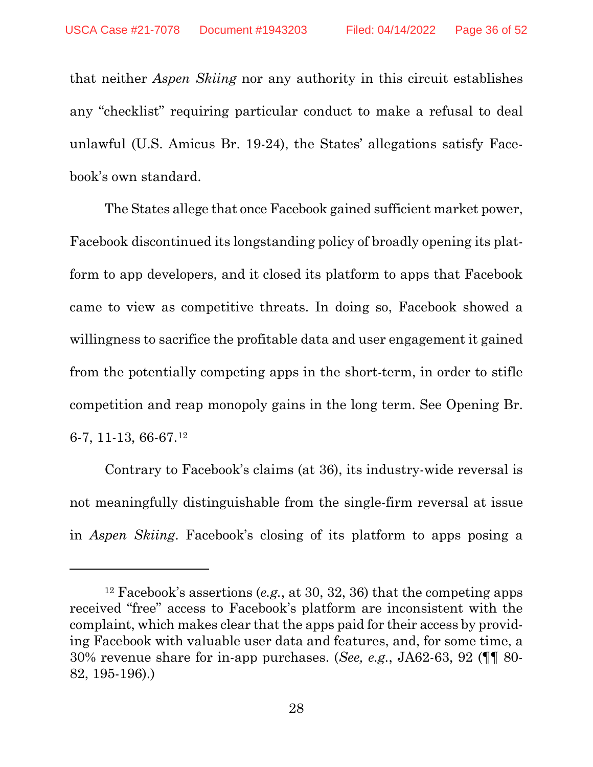that neither *Aspen Skiing* nor any authority in this circuit establishes any "checklist" requiring particular conduct to make a refusal to deal unlawful (U.S. Amicus Br. 19-24), the States' allegations satisfy Facebook's own standard.

The States allege that once Facebook gained sufficient market power, Facebook discontinued its longstanding policy of broadly opening its platform to app developers, and it closed its platform to apps that Facebook came to view as competitive threats. In doing so, Facebook showed a willingness to sacrifice the profitable data and user engagement it gained from the potentially competing apps in the short-term, in order to stifle competition and reap monopoly gains in the long term. See Opening Br. 6-7, 11-13, 66-67.[12](#page-35-0) 

Contrary to Facebook's claims (at 36), its industry-wide reversal is not meaningfully distinguishable from the single-firm reversal at issue in *Aspen Skiing*. Facebook's closing of its platform to apps posing a

<span id="page-35-0"></span><sup>12</sup> Facebook's assertions (*e.g.*, at 30, 32, 36) that the competing apps received "free" access to Facebook's platform are inconsistent with the complaint, which makes clear that the apps paid for their access by providing Facebook with valuable user data and features, and, for some time, a 30% revenue share for in-app purchases. (*See, e.g.*, JA62-63, 92 (¶¶ 80- 82, 195-196).)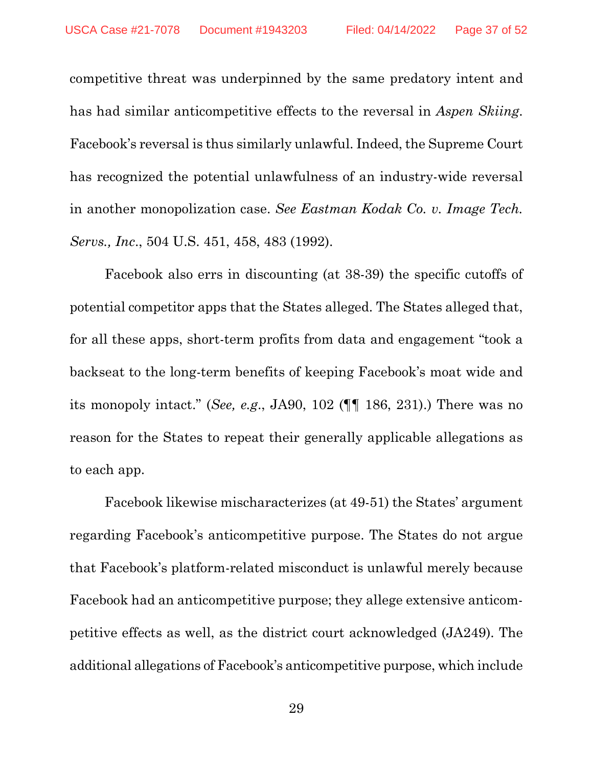competitive threat was underpinned by the same predatory intent and has had similar anticompetitive effects to the reversal in *Aspen Skiing*. Facebook's reversal is thus similarly unlawful. Indeed, the Supreme Court has recognized the potential unlawfulness of an industry-wide reversal in another monopolization case. *See Eastman Kodak Co. v. Image Tech. Servs., Inc*., 504 U.S. 451, 458, 483 (1992).

Facebook also errs in discounting (at 38-39) the specific cutoffs of potential competitor apps that the States alleged. The States alleged that, for all these apps, short-term profits from data and engagement "took a backseat to the long-term benefits of keeping Facebook's moat wide and its monopoly intact." (*See, e.g*., JA90, 102 (¶¶ 186, 231).) There was no reason for the States to repeat their generally applicable allegations as to each app.

Facebook likewise mischaracterizes (at 49-51) the States' argument regarding Facebook's anticompetitive purpose. The States do not argue that Facebook's platform-related misconduct is unlawful merely because Facebook had an anticompetitive purpose; they allege extensive anticompetitive effects as well, as the district court acknowledged (JA249). The additional allegations of Facebook's anticompetitive purpose, which include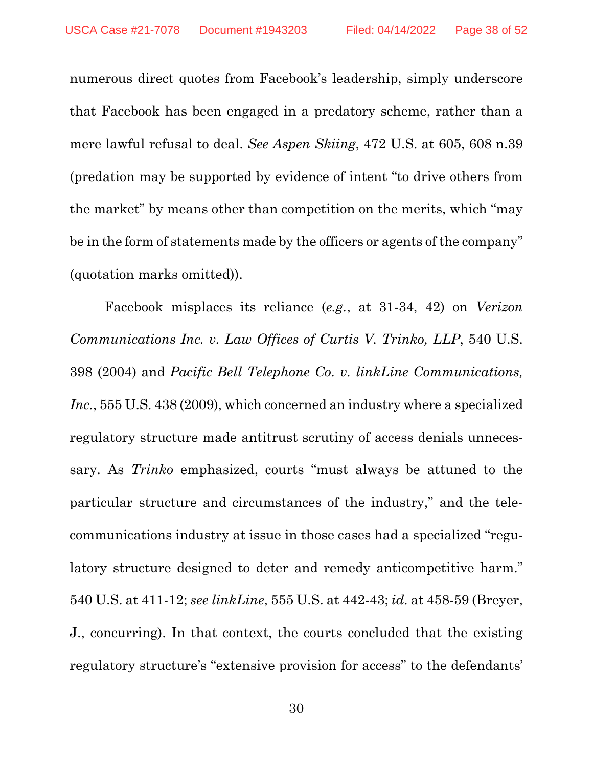numerous direct quotes from Facebook's leadership, simply underscore that Facebook has been engaged in a predatory scheme, rather than a mere lawful refusal to deal. *See Aspen Skiing*, 472 U.S. at 605, 608 n.39 (predation may be supported by evidence of intent "to drive others from the market" by means other than competition on the merits, which "may be in the form of statements made by the officers or agents of the company" (quotation marks omitted)).

Facebook misplaces its reliance (*e.g.*, at 31-34, 42) on *Verizon Communications Inc. v. Law Offices of Curtis V. Trinko, LLP*, 540 U.S. 398 (2004) and *Pacific Bell Telephone Co. v. linkLine Communications, Inc.*, 555 U.S. 438 (2009), which concerned an industry where a specialized regulatory structure made antitrust scrutiny of access denials unnecessary. As *Trinko* emphasized, courts "must always be attuned to the particular structure and circumstances of the industry," and the telecommunications industry at issue in those cases had a specialized "regulatory structure designed to deter and remedy anticompetitive harm." 540 U.S. at 411-12; *see linkLine*, 555 U.S. at 442-43; *id.* at 458-59 (Breyer, J., concurring). In that context, the courts concluded that the existing regulatory structure's "extensive provision for access" to the defendants'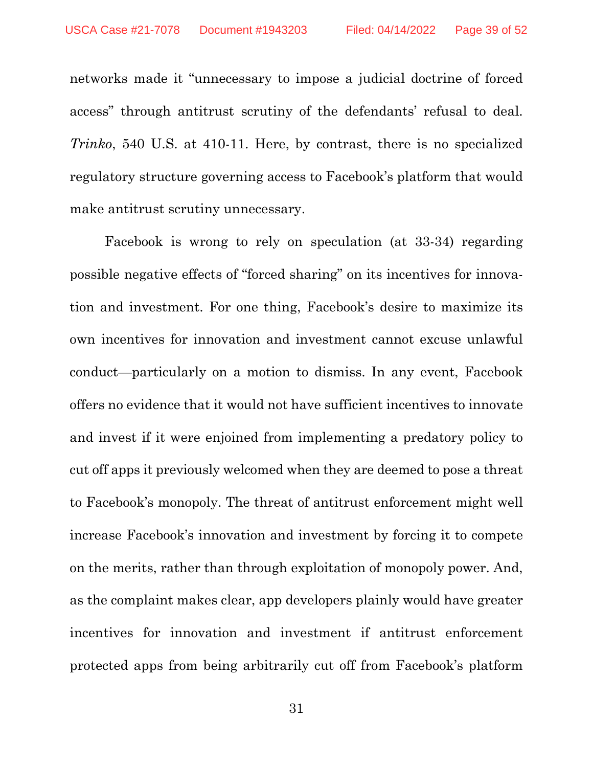networks made it "unnecessary to impose a judicial doctrine of forced access" through antitrust scrutiny of the defendants' refusal to deal. *Trinko*, 540 U.S. at 410-11. Here, by contrast, there is no specialized regulatory structure governing access to Facebook's platform that would make antitrust scrutiny unnecessary.

Facebook is wrong to rely on speculation (at 33-34) regarding possible negative effects of "forced sharing" on its incentives for innovation and investment. For one thing, Facebook's desire to maximize its own incentives for innovation and investment cannot excuse unlawful conduct—particularly on a motion to dismiss. In any event, Facebook offers no evidence that it would not have sufficient incentives to innovate and invest if it were enjoined from implementing a predatory policy to cut off apps it previously welcomed when they are deemed to pose a threat to Facebook's monopoly. The threat of antitrust enforcement might well increase Facebook's innovation and investment by forcing it to compete on the merits, rather than through exploitation of monopoly power. And, as the complaint makes clear, app developers plainly would have greater incentives for innovation and investment if antitrust enforcement protected apps from being arbitrarily cut off from Facebook's platform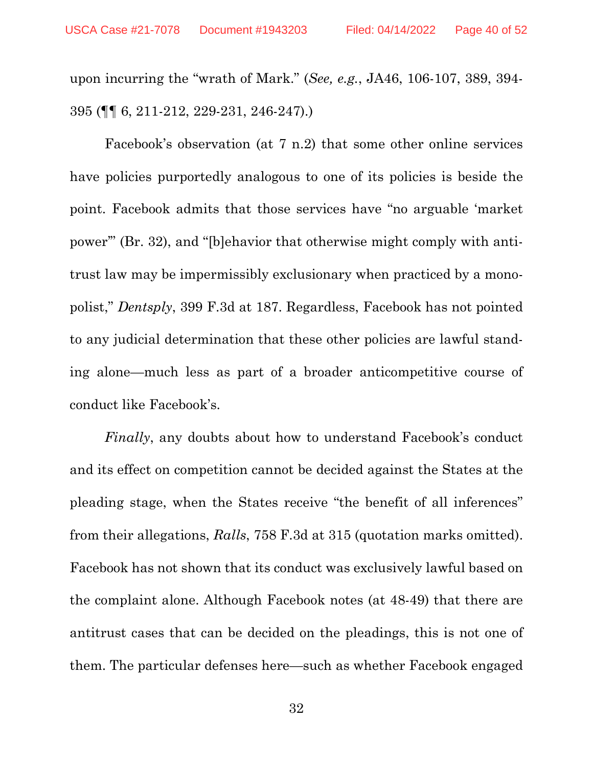upon incurring the "wrath of Mark." (*See, e.g.*, JA46, 106-107, 389, 394- 395 (¶¶ 6, 211-212, 229-231, 246-247).)

Facebook's observation (at 7 n.2) that some other online services have policies purportedly analogous to one of its policies is beside the point. Facebook admits that those services have "no arguable 'market power'" (Br. 32), and "[b]ehavior that otherwise might comply with antitrust law may be impermissibly exclusionary when practiced by a monopolist," *Dentsply*, 399 F.3d at 187. Regardless, Facebook has not pointed to any judicial determination that these other policies are lawful standing alone—much less as part of a broader anticompetitive course of conduct like Facebook's.

*Finally*, any doubts about how to understand Facebook's conduct and its effect on competition cannot be decided against the States at the pleading stage, when the States receive "the benefit of all inferences" from their allegations, *Ralls*, 758 F.3d at 315 (quotation marks omitted). Facebook has not shown that its conduct was exclusively lawful based on the complaint alone. Although Facebook notes (at 48-49) that there are antitrust cases that can be decided on the pleadings, this is not one of them. The particular defenses here—such as whether Facebook engaged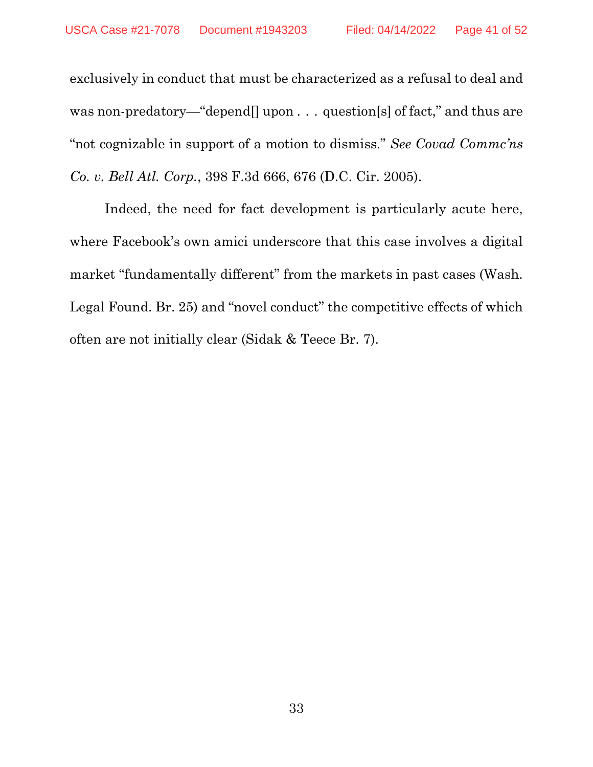exclusively in conduct that must be characterized as a refusal to deal and was non-predatory—"depend[] upon ... question[s] of fact," and thus are "not cognizable in support of a motion to dismiss." *See Covad Commc'ns Co. v. Bell Atl. Corp.*, 398 F.3d 666, 676 (D.C. Cir. 2005).

Indeed, the need for fact development is particularly acute here, where Facebook's own amici underscore that this case involves a digital market "fundamentally different" from the markets in past cases (Wash. Legal Found. Br. 25) and "novel conduct" the competitive effects of which often are not initially clear (Sidak & Teece Br. 7).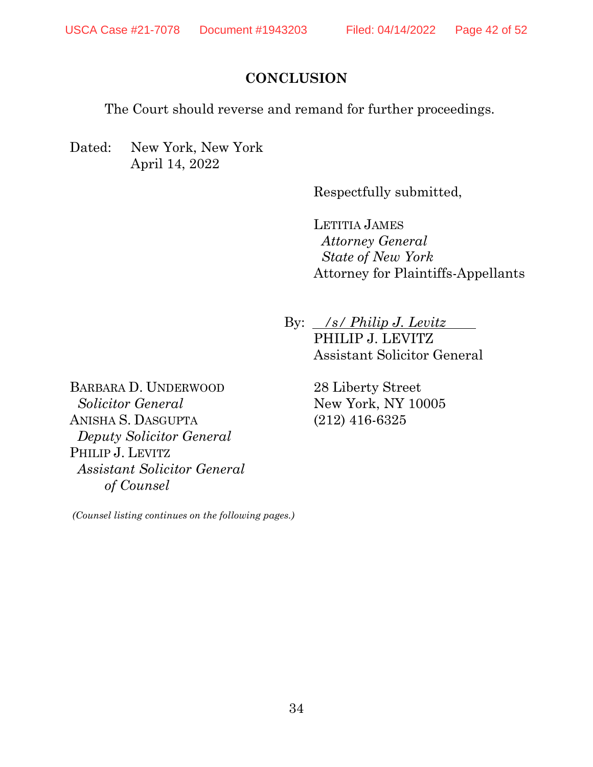### **CONCLUSION**

<span id="page-41-0"></span>The Court should reverse and remand for further proceedings.

Dated: New York, New York April 14, 2022

Respectfully submitted,

LETITIA JAMES *Attorney General State of New York* Attorney for Plaintiffs-Appellants

By: . */s/ Philip J. Levitz* . PHILIP J. LEVITZ Assistant Solicitor General

> 28 Liberty Street New York, NY 10005 (212) 416-6325

BARBARA D. UNDERWOOD  *Solicitor General*  ANISHA S. DASGUPTA  *Deputy Solicitor General* PHILIP J. LEVITZ *Assistant Solicitor General of Counsel* 

*(Counsel listing continues on the following pages.)*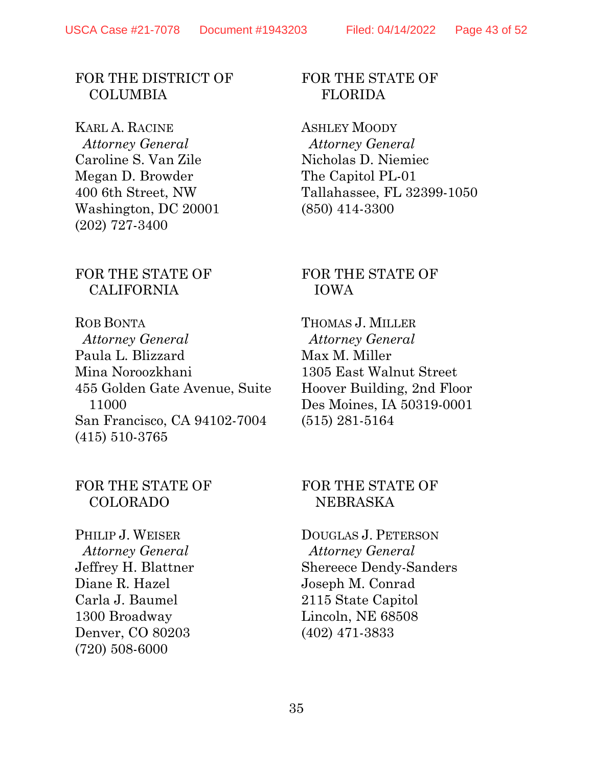#### FOR THE DISTRICT OF **COLUMBIA**

KARL A. RACINE  *Attorney General* Caroline S. Van Zile Megan D. Browder 400 6th Street, NW Washington, DC 20001 (202) 727-3400

#### FOR THE STATE OF CALIFORNIA

ROB BONTA  *Attorney General* Paula L. Blizzard Mina Noroozkhani 455 Golden Gate Avenue, Suite 11000 San Francisco, CA 94102-7004 (415) 510-3765

#### FOR THE STATE OF COLORADO

PHILIP J. WEISER  *Attorney General* Jeffrey H. Blattner Diane R. Hazel Carla J. Baumel 1300 Broadway Denver, CO 80203 (720) 508-6000

#### FOR THE STATE OF FLORIDA

ASHLEY MOODY  *Attorney General* Nicholas D. Niemiec The Capitol PL-01 Tallahassee, FL 32399-1050 (850) 414-3300

#### FOR THE STATE OF IOWA

THOMAS J. MILLER  *Attorney General* Max M. Miller 1305 East Walnut Street Hoover Building, 2nd Floor Des Moines, IA 50319-0001 (515) 281-5164

#### FOR THE STATE OF NEBRASKA

DOUGLAS J. PETERSON  *Attorney General* Shereece Dendy-Sanders Joseph M. Conrad 2115 State Capitol Lincoln, NE 68508 (402) 471-3833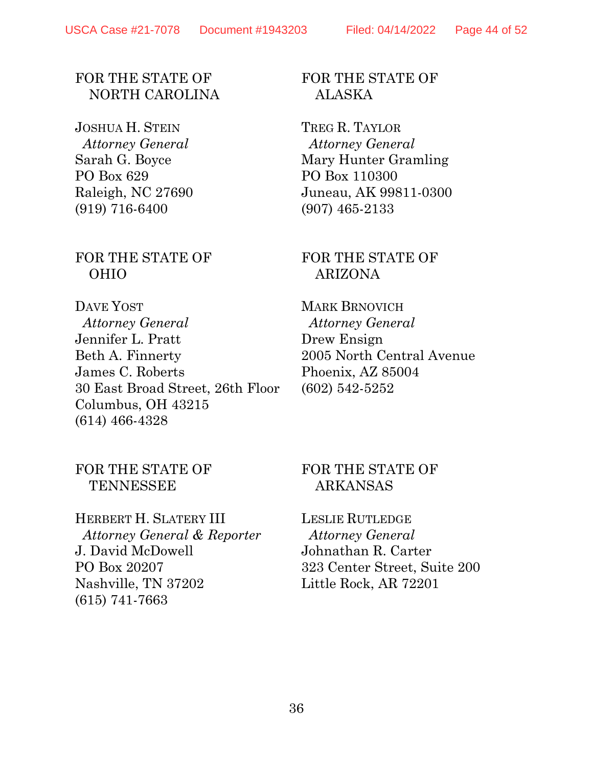#### FOR THE STATE OF NORTH CAROLINA

JOSHUA H. STEIN  *Attorney General* Sarah G. Boyce PO Box 629 Raleigh, NC 27690 (919) 716-6400

#### FOR THE STATE OF OHIO

DAVE YOST  *Attorney General* Jennifer L. Pratt Beth A. Finnerty James C. Roberts 30 East Broad Street, 26th Floor Columbus, OH 43215 (614) 466-4328

#### FOR THE STATE OF ALASKA

TREG R. TAYLOR  *Attorney General* Mary Hunter Gramling PO Box 110300 Juneau, AK 99811-0300 (907) 465-2133

#### FOR THE STATE OF ARIZONA

MARK BRNOVICH  *Attorney General* Drew Ensign 2005 North Central Avenue Phoenix, AZ 85004 (602) 542-5252

#### FOR THE STATE OF **TENNESSEE**

HERBERT H. SLATERY III  *Attorney General & Reporter* J. David McDowell PO Box 20207 Nashville, TN 37202 (615) 741-7663

#### FOR THE STATE OF ARKANSAS

LESLIE RUTLEDGE  *Attorney General* Johnathan R. Carter 323 Center Street, Suite 200 Little Rock, AR 72201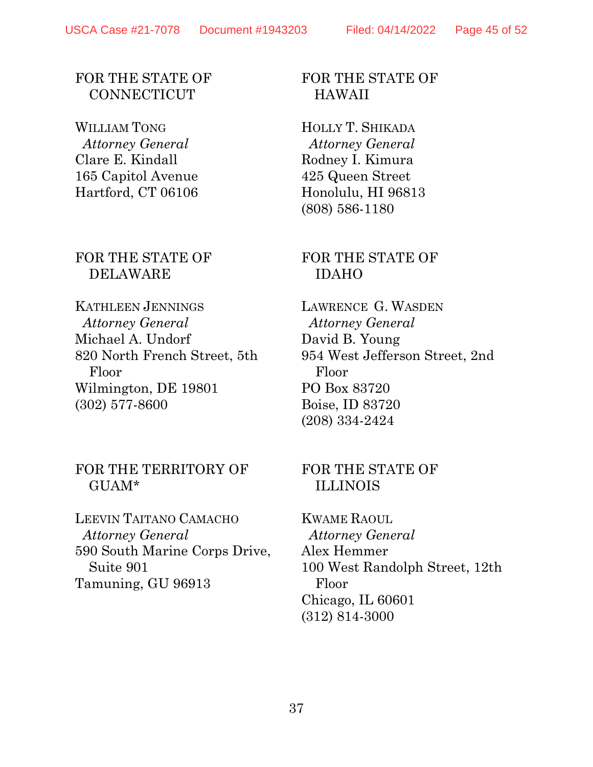#### FOR THE STATE OF **CONNECTICUT**

WILLIAM TONG  *Attorney General* Clare E. Kindall 165 Capitol Avenue Hartford, CT 06106

#### FOR THE STATE OF DELAWARE

KATHLEEN JENNINGS  *Attorney General* Michael A. Undorf 820 North French Street, 5th Floor Wilmington, DE 19801 (302) 577-8600

#### FOR THE TERRITORY OF GUAM\*

LEEVIN TAITANO CAMACHO  *Attorney General* 590 South Marine Corps Drive, Suite 901 Tamuning, GU 96913

#### FOR THE STATE OF HAWAII

HOLLY T. SHIKADA  *Attorney General* Rodney I. Kimura 425 Queen Street Honolulu, HI 96813 (808) 586-1180

#### FOR THE STATE OF IDAHO

LAWRENCE G. WASDEN  *Attorney General* David B. Young 954 West Jefferson Street, 2nd Floor PO Box 83720 Boise, ID 83720 (208) 334-2424

#### FOR THE STATE OF ILLINOIS

KWAME RAOUL  *Attorney General* Alex Hemmer 100 West Randolph Street, 12th Floor Chicago, IL 60601 (312) 814-3000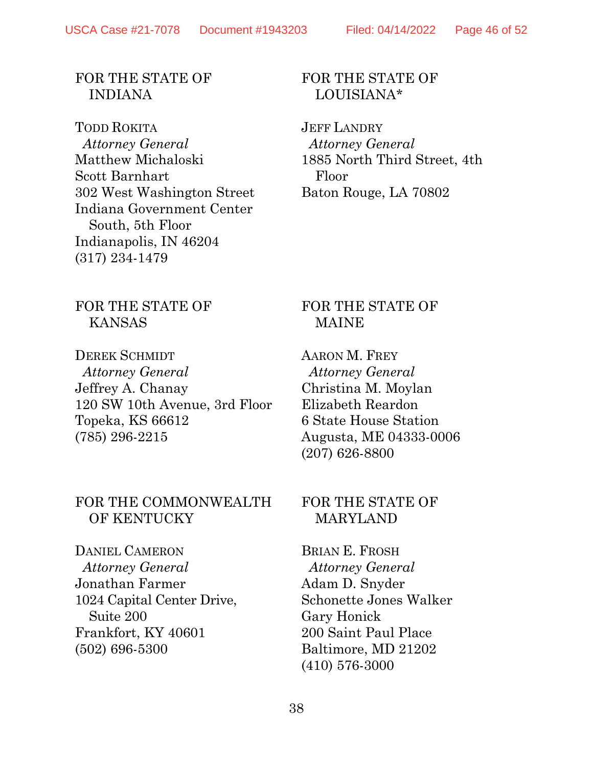#### FOR THE STATE OF INDIANA

TODD ROKITA  *Attorney General* Matthew Michaloski Scott Barnhart 302 West Washington Street Indiana Government Center South, 5th Floor Indianapolis, IN 46204 (317) 234-1479

### FOR THE STATE OF LOUISIANA\*

JEFF LANDRY  *Attorney General* 1885 North Third Street, 4th Floor Baton Rouge, LA 70802

#### FOR THE STATE OF KANSAS

DEREK SCHMIDT  *Attorney General* Jeffrey A. Chanay 120 SW 10th Avenue, 3rd Floor Topeka, KS 66612 (785) 296-2215

#### FOR THE COMMONWEALTH OF KENTUCKY

DANIEL CAMERON  *Attorney General* Jonathan Farmer 1024 Capital Center Drive, Suite 200 Frankfort, KY 40601 (502) 696-5300

#### FOR THE STATE OF MAINE

AARON M. FREY  *Attorney General* Christina M. Moylan Elizabeth Reardon 6 State House Station Augusta, ME 04333-0006 (207) 626-8800

#### FOR THE STATE OF MARYLAND

BRIAN E. FROSH  *Attorney General* Adam D. Snyder Schonette Jones Walker Gary Honick 200 Saint Paul Place Baltimore, MD 21202 (410) 576-3000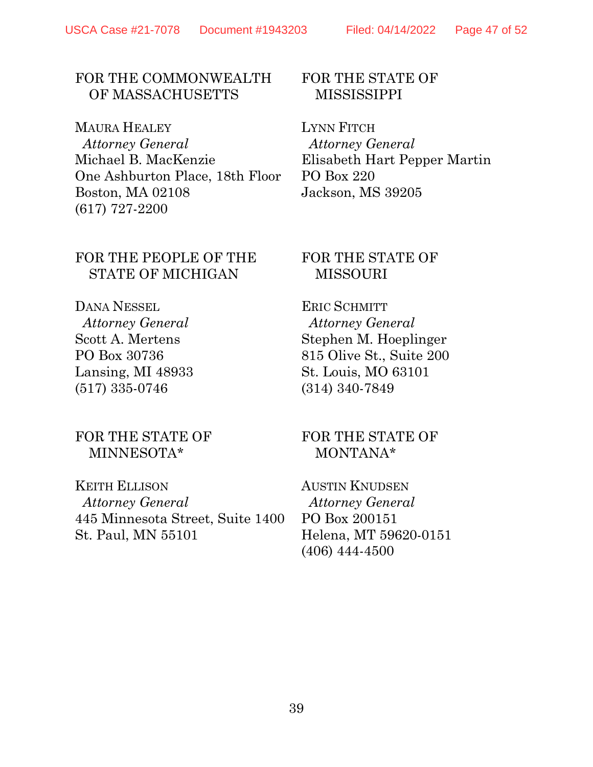# FOR THE COMMONWEALTH

OF MASSACHUSETTS

MAURA HEALEY  *Attorney General* Michael B. MacKenzie One Ashburton Place, 18th Floor Boston, MA 02108 (617) 727-2200

#### FOR THE STATE OF **MISSISSIPPI**

LYNN FITCH  *Attorney General* Elisabeth Hart Pepper Martin PO Box 220 Jackson, MS 39205

### FOR THE PEOPLE OF THE STATE OF MICHIGAN

DANA NESSEL  *Attorney General* Scott A. Mertens PO Box 30736 Lansing, MI 48933 (517) 335-0746

#### FOR THE STATE OF MINNESOTA\*

KEITH ELLISON  *Attorney General* 445 Minnesota Street, Suite 1400 St. Paul, MN 55101

#### FOR THE STATE OF MISSOURI

ERIC SCHMITT  *Attorney General* Stephen M. Hoeplinger 815 Olive St., Suite 200 St. Louis, MO 63101 (314) 340-7849

#### FOR THE STATE OF MONTANA\*

AUSTIN KNUDSEN  *Attorney General* PO Box 200151 Helena, MT 59620-0151 (406) 444-4500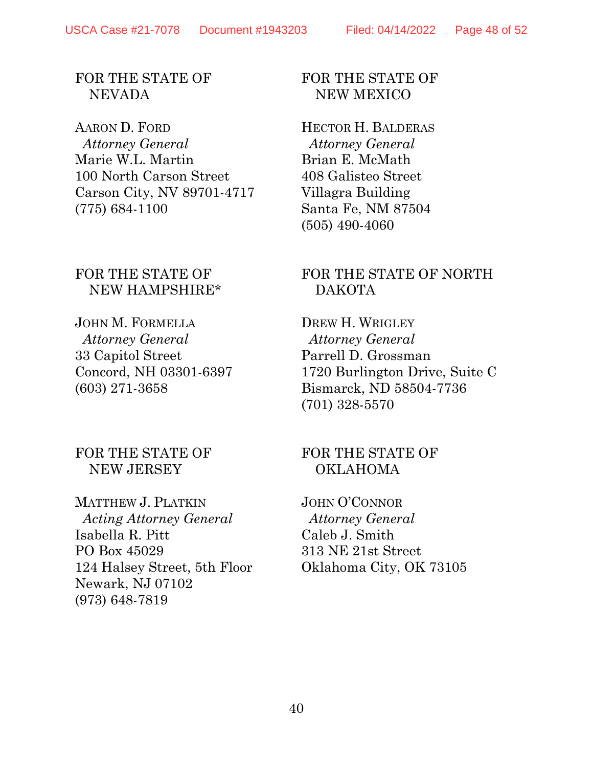#### FOR THE STATE OF NEVADA

AARON D. FORD  *Attorney General* Marie W.L. Martin 100 North Carson Street Carson City, NV 89701-4717 (775) 684-1100

#### FOR THE STATE OF NEW HAMPSHIRE\*

JOHN M. FORMELLA  *Attorney General* 33 Capitol Street Concord, NH 03301-6397 (603) 271-3658

#### FOR THE STATE OF NEW JERSEY

MATTHEW J. PLATKIN  *Acting Attorney General* Isabella R. Pitt PO Box 45029 124 Halsey Street, 5th Floor Newark, NJ 07102 (973) 648-7819

#### FOR THE STATE OF NEW MEXICO

HECTOR H. BALDERAS  *Attorney General* Brian E. McMath 408 Galisteo Street Villagra Building Santa Fe, NM 87504 (505) 490-4060

#### FOR THE STATE OF NORTH DAKOTA

DREW H. WRIGLEY  *Attorney General* Parrell D. Grossman 1720 Burlington Drive, Suite C Bismarck, ND 58504-7736 (701) 328-5570

#### FOR THE STATE OF OKLAHOMA

JOHN O'CONNOR  *Attorney General* Caleb J. Smith 313 NE 21st Street Oklahoma City, OK 73105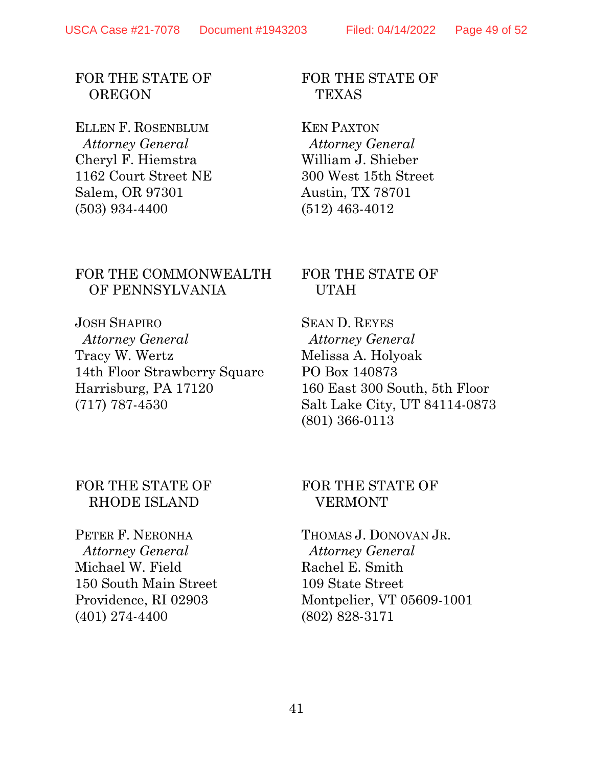#### FOR THE STATE OF **OREGON**

ELLEN F. ROSENBLUM  *Attorney General* Cheryl F. Hiemstra 1162 Court Street NE Salem, OR 97301 (503) 934-4400

#### FOR THE COMMONWEALTH OF PENNSYLVANIA

JOSH SHAPIRO  *Attorney General* Tracy W. Wertz 14th Floor Strawberry Square Harrisburg, PA 17120 (717) 787-4530

#### FOR THE STATE OF **TEXAS**

KEN PAXTON  *Attorney General* William J. Shieber 300 West 15th Street Austin, TX 78701 (512) 463-4012

#### FOR THE STATE OF UTAH

SEAN D. REYES  *Attorney General* Melissa A. Holyoak PO Box 140873 160 East 300 South, 5th Floor Salt Lake City, UT 84114-0873 (801) 366-0113

#### FOR THE STATE OF RHODE ISLAND

PETER F. NERONHA  *Attorney General* Michael W. Field 150 South Main Street Providence, RI 02903 (401) 274-4400

#### FOR THE STATE OF VERMONT

THOMAS J. DONOVAN JR.  *Attorney General* Rachel E. Smith 109 State Street Montpelier, VT 05609-1001 (802) 828-3171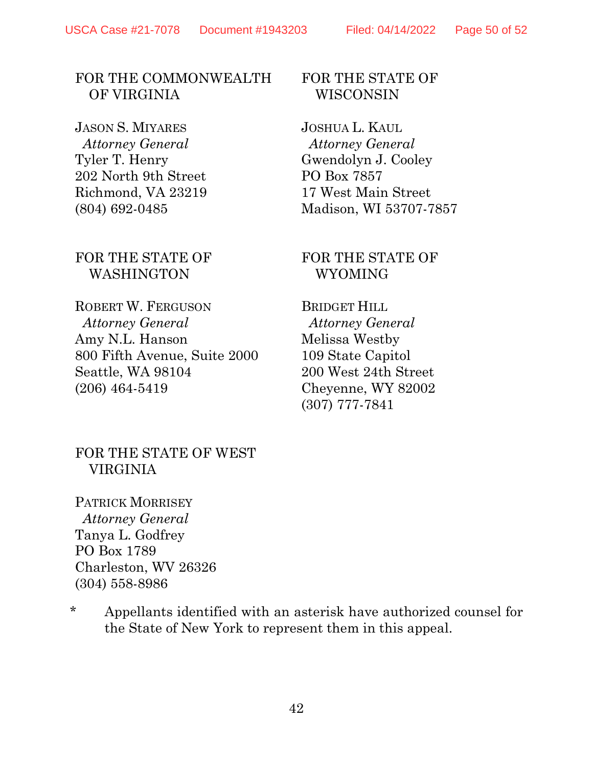#### FOR THE COMMONWEALTH OF VIRGINIA

JASON S. MIYARES  *Attorney General* Tyler T. Henry 202 North 9th Street Richmond, VA 23219 (804) 692-0485

#### FOR THE STATE OF WASHINGTON

ROBERT W. FERGUSON  *Attorney General* Amy N.L. Hanson 800 Fifth Avenue, Suite 2000 Seattle, WA 98104 (206) 464-5419

#### FOR THE STATE OF WISCONSIN

JOSHUA L. KAUL  *Attorney General* Gwendolyn J. Cooley PO Box 7857 17 West Main Street Madison, WI 53707-7857

#### FOR THE STATE OF WYOMING

BRIDGET HILL  *Attorney General* Melissa Westby 109 State Capitol 200 West 24th Street Cheyenne, WY 82002 (307) 777-7841

#### FOR THE STATE OF WEST VIRGINIA

PATRICK MORRISEY  *Attorney General* Tanya L. Godfrey PO Box 1789 Charleston, WV 26326 (304) 558-8986

\* Appellants identified with an asterisk have authorized counsel for the State of New York to represent them in this appeal.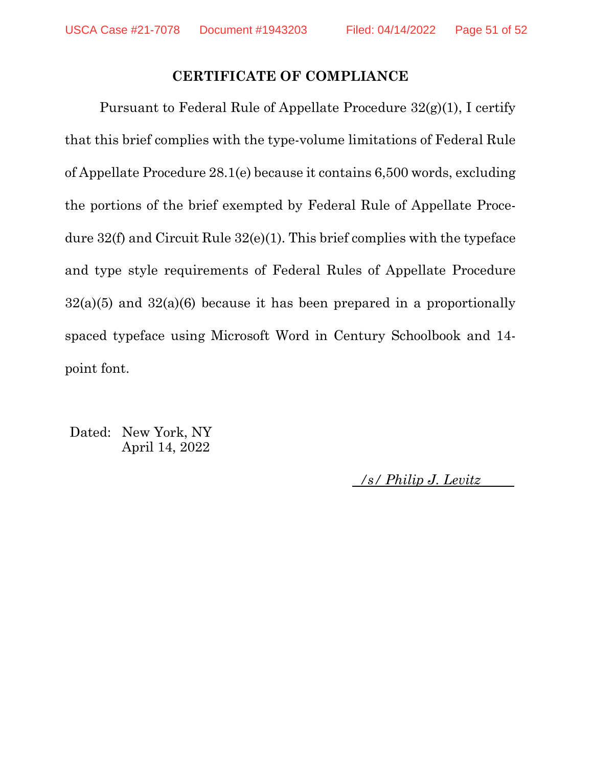#### CERTIFICATE OF COMPLIANCE

Pursuant to Federal Rule of Appellate Procedure 32(g)(1), I certify that this brief complies with the type-volume limitations of Federal Rule of Appellate Procedure 28.1(e) because it contains 6,500 words, excluding the portions of the brief exempted by Federal Rule of Appellate Procedure 32(f) and Circuit Rule 32(e)(1). This brief complies with the typeface and type style requirements of Federal Rules of Appellate Procedure  $32(a)(5)$  and  $32(a)(6)$  because it has been prepared in a proportionally spaced typeface using Microsoft Word in Century Schoolbook and 14 point font.

Dated: New York, NY April 14, 2022

/s/ Philip J. Levitz .